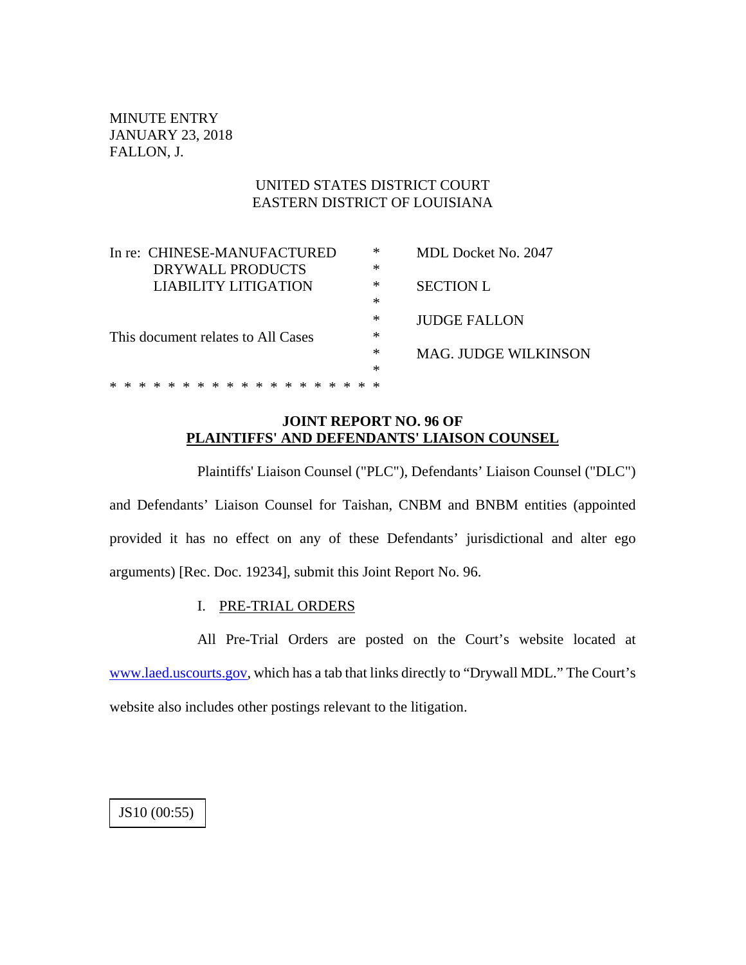MINUTE ENTRY JANUARY 23, 2018 FALLON, J.

# UNITED STATES DISTRICT COURT EASTERN DISTRICT OF LOUISIANA

| In re: CHINESE-MANUFACTURED |                                    |  |  |  |  |                         |  |  |  |  |  |  |   |                             |     |   |                  | ∗                   | <b>MDL Docket No. 2047</b> |
|-----------------------------|------------------------------------|--|--|--|--|-------------------------|--|--|--|--|--|--|---|-----------------------------|-----|---|------------------|---------------------|----------------------------|
|                             |                                    |  |  |  |  | DRYWALL PRODUCTS        |  |  |  |  |  |  |   |                             |     |   |                  | ∗                   |                            |
| LIABILITY LITIGATION        |                                    |  |  |  |  |                         |  |  |  |  |  |  |   |                             |     | ∗ | <b>SECTION L</b> |                     |                            |
|                             |                                    |  |  |  |  |                         |  |  |  |  |  |  |   |                             |     |   |                  | ∗                   |                            |
|                             |                                    |  |  |  |  |                         |  |  |  |  |  |  |   |                             | ∗   |   |                  | <b>JUDGE FALLON</b> |                            |
|                             | This document relates to All Cases |  |  |  |  |                         |  |  |  |  |  |  |   |                             |     | ∗ |                  |                     |                            |
|                             |                                    |  |  |  |  |                         |  |  |  |  |  |  | ∗ | <b>MAG. JUDGE WILKINSON</b> |     |   |                  |                     |                            |
|                             |                                    |  |  |  |  |                         |  |  |  |  |  |  |   |                             |     |   |                  | $\ast$              |                            |
|                             | $\ast$                             |  |  |  |  | * * * * * * * * * * * * |  |  |  |  |  |  |   |                             | * * |   |                  |                     |                            |
|                             |                                    |  |  |  |  |                         |  |  |  |  |  |  |   |                             |     |   |                  |                     |                            |

# **JOINT REPORT NO. 96 OF PLAINTIFFS' AND DEFENDANTS' LIAISON COUNSEL**

Plaintiffs' Liaison Counsel ("PLC"), Defendants' Liaison Counsel ("DLC") and Defendants' Liaison Counsel for Taishan, CNBM and BNBM entities (appointed provided it has no effect on any of these Defendants' jurisdictional and alter ego arguments) [Rec. Doc. 19234], submit this Joint Report No. 96.

# I. PRE-TRIAL ORDERS

All Pre-Trial Orders are posted on the Court's website located at [www.laed.uscourts.gov,](http://www.laed.uscourts.gov/) which has a tab that links directly to "Drywall MDL." The Court's website also includes other postings relevant to the litigation.

JS10 (00:55)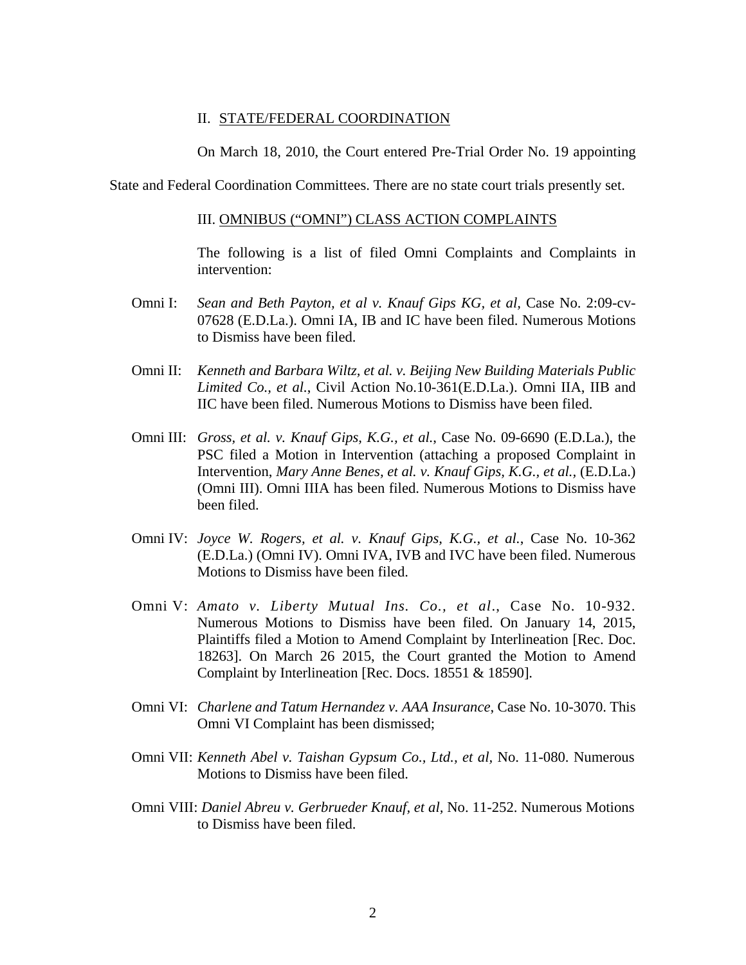#### II. STATE/FEDERAL COORDINATION

On March 18, 2010, the Court entered Pre-Trial Order No. 19 appointing

State and Federal Coordination Committees. There are no state court trials presently set.

#### III. OMNIBUS ("OMNI") CLASS ACTION COMPLAINTS

The following is a list of filed Omni Complaints and Complaints in intervention:

- Omni I: *Sean and Beth Payton, et al v. Knauf Gips KG, et al, Case No. 2:09-cv-*07628 (E.D.La.). Omni IA, IB and IC have been filed. Numerous Motions to Dismiss have been filed.
- Omni II: *Kenneth and Barbara Wiltz, et al. v. Beijing New Building Materials Public Limited Co., et al.*, Civil Action No.10-361(E.D.La.). Omni IIA, IIB and IIC have been filed. Numerous Motions to Dismiss have been filed.
- Omni III: *Gross, et al. v. Knauf Gips, K.G., et al.*, Case No. 09-6690 (E.D.La.), the PSC filed a Motion in Intervention (attaching a proposed Complaint in Intervention, *Mary Anne Benes, et al. v. Knauf Gips, K.G., et al.,* (E.D.La.) (Omni III). Omni IIIA has been filed. Numerous Motions to Dismiss have been filed.
- Omni IV: *Joyce W. Rogers, et al. v. Knauf Gips, K.G., et al.*, Case No. 10-362 (E.D.La.) (Omni IV). Omni IVA, IVB and IVC have been filed. Numerous Motions to Dismiss have been filed.
- Omni V: *Amato v. Liberty Mutual Ins. Co., et al*., Case No. 10-932. Numerous Motions to Dismiss have been filed. On January 14, 2015, Plaintiffs filed a Motion to Amend Complaint by Interlineation [Rec. Doc. 18263]. On March 26 2015, the Court granted the Motion to Amend Complaint by Interlineation [Rec. Docs. 18551 & 18590].
- Omni VI: *Charlene and Tatum Hernandez v. AAA Insurance*, Case No. 10-3070. This Omni VI Complaint has been dismissed;
- Omni VII: *Kenneth Abel v. Taishan Gypsum Co., Ltd., et al,* No. 11-080. Numerous Motions to Dismiss have been filed.
- Omni VIII: *Daniel Abreu v. Gerbrueder Knauf, et al,* No. 11-252. Numerous Motions to Dismiss have been filed.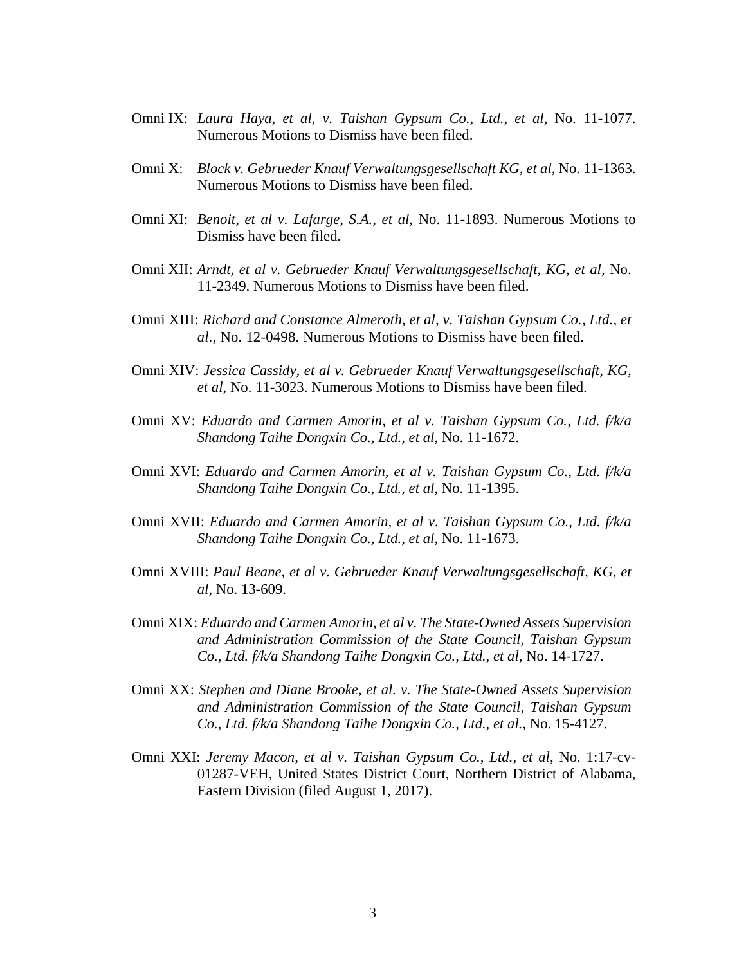- Omni IX: *Laura Haya, et al, v. Taishan Gypsum Co., Ltd., et al,* No. 11-1077. Numerous Motions to Dismiss have been filed.
- Omni X: *Block v. Gebrueder Knauf Verwaltungsgesellschaft KG, et al*, No. 11-1363. Numerous Motions to Dismiss have been filed.
- Omni XI: *Benoit, et al v. Lafarge, S.A., et al*, No. 11-1893. Numerous Motions to Dismiss have been filed.
- Omni XII: *Arndt, et al v. Gebrueder Knauf Verwaltungsgesellschaft, KG, et al,* No. 11-2349. Numerous Motions to Dismiss have been filed.
- Omni XIII: *Richard and Constance Almeroth, et al, v. Taishan Gypsum Co., Ltd., et al.,* No. 12-0498. Numerous Motions to Dismiss have been filed.
- Omni XIV: *Jessica Cassidy, et al v. Gebrueder Knauf Verwaltungsgesellschaft, KG, et al,* No. 11-3023. Numerous Motions to Dismiss have been filed.
- Omni XV: *Eduardo and Carmen Amorin, et al v. Taishan Gypsum Co., Ltd. f/k/a Shandong Taihe Dongxin Co., Ltd., et al*, No. 11-1672.
- Omni XVI: *Eduardo and Carmen Amorin, et al v. Taishan Gypsum Co., Ltd. f/k/a Shandong Taihe Dongxin Co., Ltd., et al*, No. 11-1395.
- Omni XVII: *Eduardo and Carmen Amorin, et al v. Taishan Gypsum Co., Ltd. f/k/a Shandong Taihe Dongxin Co., Ltd., et al*, No. 11-1673.
- Omni XVIII: *Paul Beane, et al v. Gebrueder Knauf Verwaltungsgesellschaft, KG, et al,* No. 13-609.
- Omni XIX: *Eduardo and Carmen Amorin, et al v. The State-Owned Assets Supervision and Administration Commission of the State Council, Taishan Gypsum Co., Ltd. f/k/a Shandong Taihe Dongxin Co., Ltd., et al*, No. 14-1727.
- Omni XX: *Stephen and Diane Brooke, et al. v. The State-Owned Assets Supervision and Administration Commission of the State Council, Taishan Gypsum Co., Ltd. f/k/a Shandong Taihe Dongxin Co., Ltd., et al.*, No. 15-4127.
- Omni XXI: *Jeremy Macon, et al v. Taishan Gypsum Co., Ltd., et al*, No. 1:17-cv-01287-VEH, United States District Court, Northern District of Alabama, Eastern Division (filed August 1, 2017).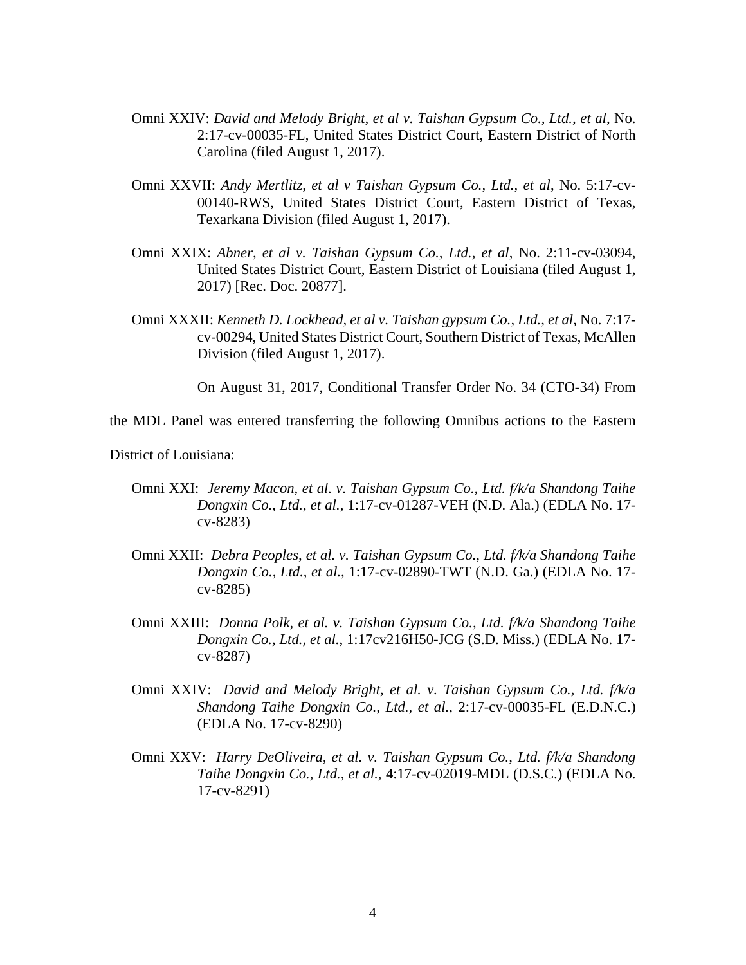- Omni XXIV: *David and Melody Bright, et al v. Taishan Gypsum Co., Ltd., et al*, No. 2:17-cv-00035-FL, United States District Court, Eastern District of North Carolina (filed August 1, 2017).
- Omni XXVII: *Andy Mertlitz, et al v Taishan Gypsum Co., Ltd., et al*, No. 5:17-cv-00140-RWS, United States District Court, Eastern District of Texas, Texarkana Division (filed August 1, 2017).
- Omni XXIX: *Abner, et al v. Taishan Gypsum Co., Ltd., et al*, No. 2:11-cv-03094, United States District Court, Eastern District of Louisiana (filed August 1, 2017) [Rec. Doc. 20877].
- Omni XXXII: *Kenneth D. Lockhead, et al v. Taishan gypsum Co., Ltd., et al*, No. 7:17 cv-00294, United States District Court, Southern District of Texas, McAllen Division (filed August 1, 2017).

On August 31, 2017, Conditional Transfer Order No. 34 (CTO-34) From

the MDL Panel was entered transferring the following Omnibus actions to the Eastern

District of Louisiana:

- Omni XXI: *Jeremy Macon, et al. v. Taishan Gypsum Co., Ltd. f/k/a Shandong Taihe Dongxin Co., Ltd., et al.*, 1:17-cv-01287-VEH (N.D. Ala.) (EDLA No. 17 cv-8283)
- Omni XXII: *Debra Peoples, et al. v. Taishan Gypsum Co., Ltd. f/k/a Shandong Taihe Dongxin Co., Ltd., et al.,* 1:17-cv-02890-TWT (N.D. Ga.) (EDLA No. 17 cv-8285)
- Omni XXIII: *Donna Polk, et al. v. Taishan Gypsum Co., Ltd. f/k/a Shandong Taihe Dongxin Co., Ltd., et al.*, 1:17cv216H50-JCG (S.D. Miss.) (EDLA No. 17 cv-8287)
- Omni XXIV: *David and Melody Bright, et al. v. Taishan Gypsum Co., Ltd. f/k/a Shandong Taihe Dongxin Co., Ltd., et al.*, 2:17-cv-00035-FL (E.D.N.C.) (EDLA No. 17-cv-8290)
- Omni XXV: *Harry DeOliveira, et al. v. Taishan Gypsum Co., Ltd. f/k/a Shandong Taihe Dongxin Co., Ltd., et al.*, 4:17-cv-02019-MDL (D.S.C.) (EDLA No. 17-cv-8291)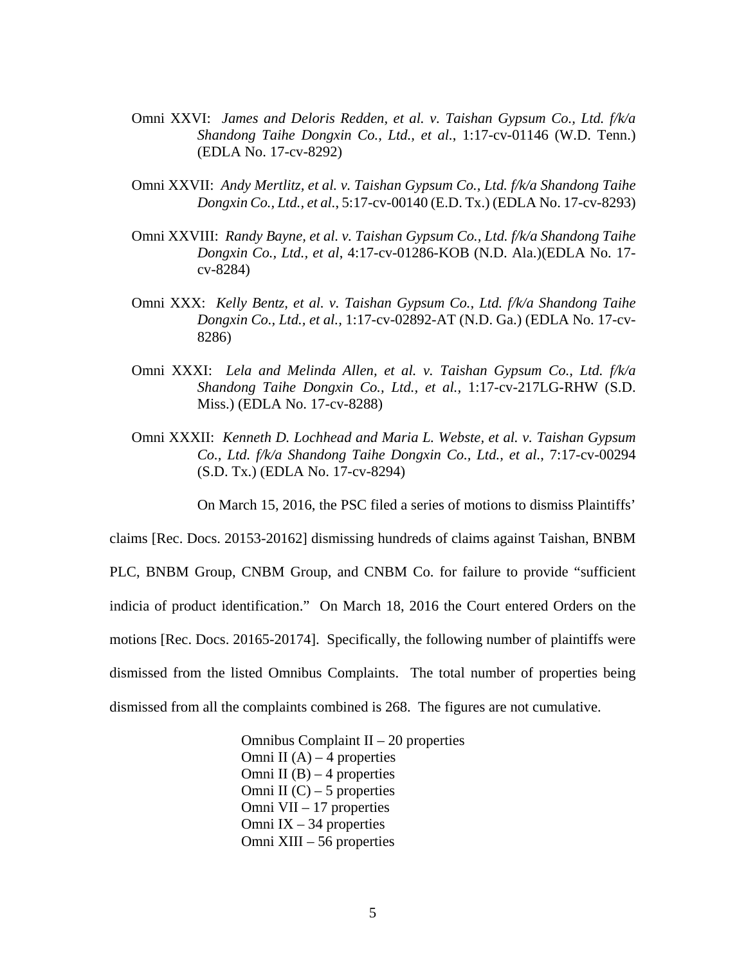- Omni XXVI: *James and Deloris Redden, et al. v. Taishan Gypsum Co., Ltd. f/k/a Shandong Taihe Dongxin Co., Ltd., et al.*, 1:17-cv-01146 (W.D. Tenn.) (EDLA No. 17-cv-8292)
- Omni XXVII: *Andy Mertlitz, et al. v. Taishan Gypsum Co., Ltd. f/k/a Shandong Taihe Dongxin Co., Ltd., et al.*, 5:17-cv-00140 (E.D. Tx.) (EDLA No. 17-cv-8293)
- Omni XXVIII: *Randy Bayne, et al. v. Taishan Gypsum Co., Ltd. f/k/a Shandong Taihe Dongxin Co., Ltd., et al*, 4:17-cv-01286-KOB (N.D. Ala.)(EDLA No. 17 cv-8284)
- Omni XXX: *Kelly Bentz, et al. v. Taishan Gypsum Co., Ltd. f/k/a Shandong Taihe Dongxin Co., Ltd., et al.,* 1:17-cv-02892-AT (N.D. Ga.) (EDLA No. 17-cv-8286)
- Omni XXXI: *Lela and Melinda Allen, et al. v. Taishan Gypsum Co., Ltd. f/k/a Shandong Taihe Dongxin Co., Ltd., et al.,* 1:17-cv-217LG-RHW (S.D. Miss.) (EDLA No. 17-cv-8288)
- Omni XXXII: *Kenneth D. Lochhead and Maria L. Webste, et al. v. Taishan Gypsum Co., Ltd. f/k/a Shandong Taihe Dongxin Co., Ltd., et al.*, 7:17-cv-00294 (S.D. Tx.) (EDLA No. 17-cv-8294)

On March 15, 2016, the PSC filed a series of motions to dismiss Plaintiffs'

claims [Rec. Docs. 20153-20162] dismissing hundreds of claims against Taishan, BNBM PLC, BNBM Group, CNBM Group, and CNBM Co. for failure to provide "sufficient indicia of product identification." On March 18, 2016 the Court entered Orders on the motions [Rec. Docs. 20165-20174]. Specifically, the following number of plaintiffs were dismissed from the listed Omnibus Complaints. The total number of properties being dismissed from all the complaints combined is 268. The figures are not cumulative.

> Omnibus Complaint  $II - 20$  properties Omni II  $(A) - 4$  properties Omni II  $(B) - 4$  properties Omni II  $(C)$  – 5 properties Omni VII – 17 properties Omni IX – 34 properties Omni XIII – 56 properties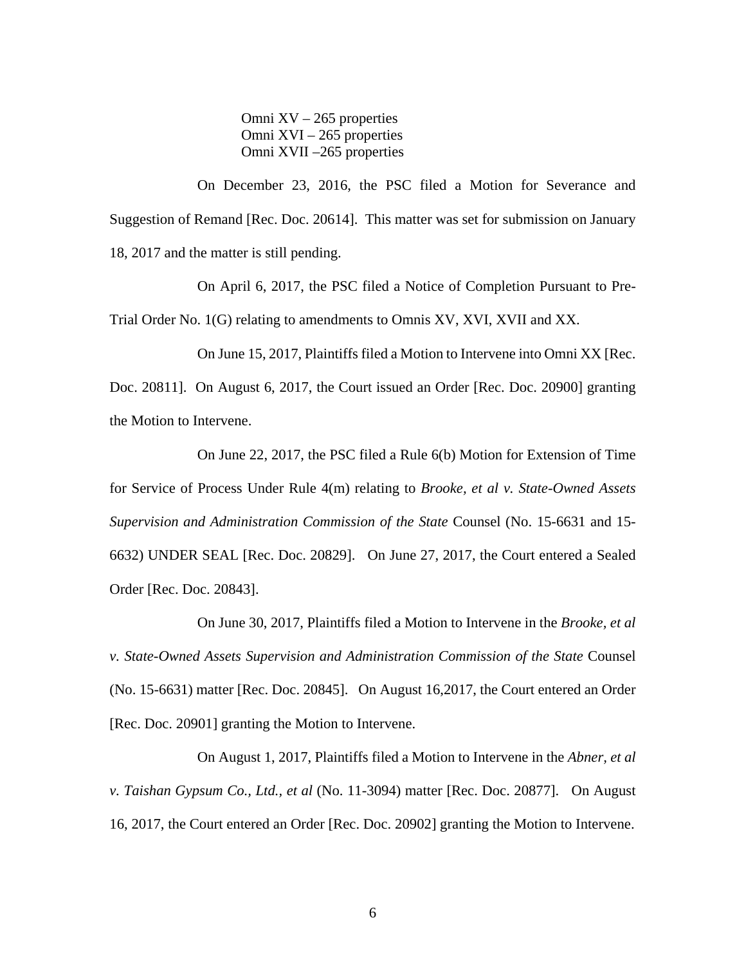Omni  $XV - 265$  properties Omni XVI – 265 properties Omni XVII –265 properties

On December 23, 2016, the PSC filed a Motion for Severance and Suggestion of Remand [Rec. Doc. 20614]. This matter was set for submission on January 18, 2017 and the matter is still pending.

On April 6, 2017, the PSC filed a Notice of Completion Pursuant to Pre-Trial Order No. 1(G) relating to amendments to Omnis XV, XVI, XVII and XX.

On June 15, 2017, Plaintiffs filed a Motion to Intervene into Omni XX [Rec. Doc. 20811]. On August 6, 2017, the Court issued an Order [Rec. Doc. 20900] granting the Motion to Intervene.

On June 22, 2017, the PSC filed a Rule 6(b) Motion for Extension of Time for Service of Process Under Rule 4(m) relating to *Brooke, et al v. State-Owned Assets Supervision and Administration Commission of the State* Counsel (No. 15-6631 and 15- 6632) UNDER SEAL [Rec. Doc. 20829]. On June 27, 2017, the Court entered a Sealed Order [Rec. Doc. 20843].

On June 30, 2017, Plaintiffs filed a Motion to Intervene in the *Brooke, et al v. State-Owned Assets Supervision and Administration Commission of the State* Counsel (No. 15-6631) matter [Rec. Doc. 20845]. On August 16,2017, the Court entered an Order [Rec. Doc. 20901] granting the Motion to Intervene.

On August 1, 2017, Plaintiffs filed a Motion to Intervene in the *Abner, et al v. Taishan Gypsum Co., Ltd., et al* (No. 11-3094) matter [Rec. Doc. 20877]. On August 16, 2017, the Court entered an Order [Rec. Doc. 20902] granting the Motion to Intervene.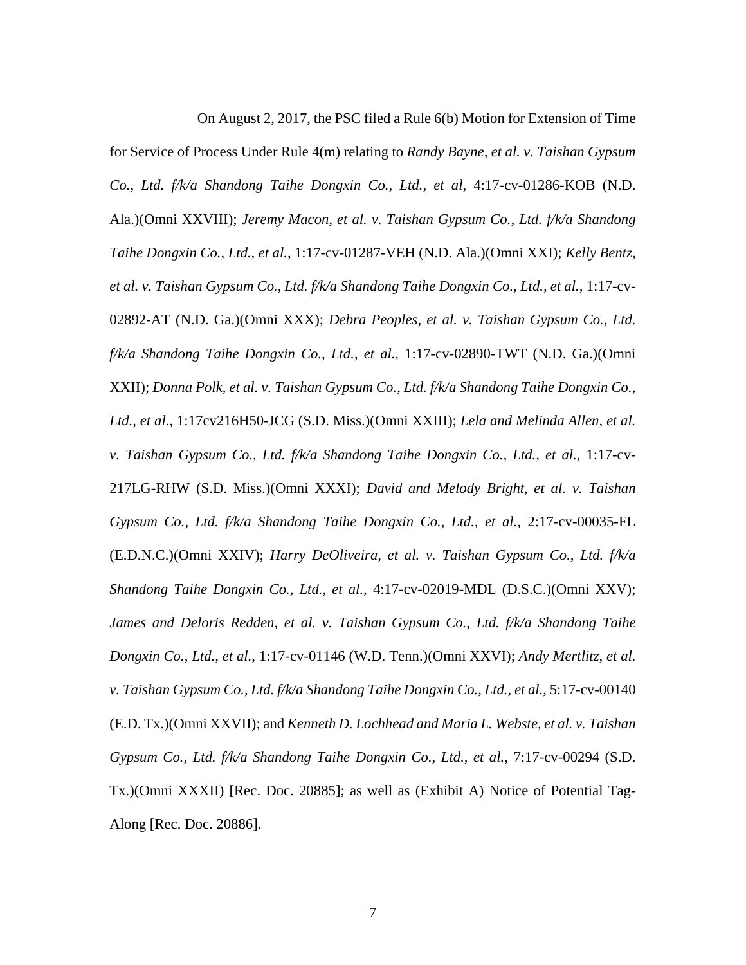On August 2, 2017, the PSC filed a Rule 6(b) Motion for Extension of Time

for Service of Process Under Rule 4(m) relating to *Randy Bayne, et al. v. Taishan Gypsum Co., Ltd. f/k/a Shandong Taihe Dongxin Co., Ltd., et al*, 4:17-cv-01286-KOB (N.D. Ala.)(Omni XXVIII); *Jeremy Macon, et al. v. Taishan Gypsum Co., Ltd. f/k/a Shandong Taihe Dongxin Co., Ltd., et al.*, 1:17-cv-01287-VEH (N.D. Ala.)(Omni XXI); *Kelly Bentz, et al. v. Taishan Gypsum Co., Ltd. f/k/a Shandong Taihe Dongxin Co., Ltd., et al.,* 1:17-cv-02892-AT (N.D. Ga.)(Omni XXX); *Debra Peoples, et al. v. Taishan Gypsum Co., Ltd. f/k/a Shandong Taihe Dongxin Co., Ltd., et al.,* 1:17-cv-02890-TWT (N.D. Ga.)(Omni XXII); *Donna Polk, et al. v. Taishan Gypsum Co., Ltd. f/k/a Shandong Taihe Dongxin Co., Ltd., et al.*, 1:17cv216H50-JCG (S.D. Miss.)(Omni XXIII); *Lela and Melinda Allen, et al. v. Taishan Gypsum Co., Ltd. f/k/a Shandong Taihe Dongxin Co., Ltd., et al.,* 1:17-cv-217LG-RHW (S.D. Miss.)(Omni XXXI); *David and Melody Bright, et al. v. Taishan Gypsum Co., Ltd. f/k/a Shandong Taihe Dongxin Co., Ltd., et al.*, 2:17-cv-00035-FL (E.D.N.C.)(Omni XXIV); *Harry DeOliveira, et al. v. Taishan Gypsum Co., Ltd. f/k/a Shandong Taihe Dongxin Co., Ltd., et al.*, 4:17-cv-02019-MDL (D.S.C.)(Omni XXV); *James and Deloris Redden, et al. v. Taishan Gypsum Co., Ltd. f/k/a Shandong Taihe Dongxin Co., Ltd., et al.*, 1:17-cv-01146 (W.D. Tenn.)(Omni XXVI); *Andy Mertlitz, et al. v. Taishan Gypsum Co., Ltd. f/k/a Shandong Taihe Dongxin Co., Ltd., et al.*, 5:17-cv-00140 (E.D. Tx.)(Omni XXVII); and *Kenneth D. Lochhead and Maria L. Webste, et al. v. Taishan Gypsum Co., Ltd. f/k/a Shandong Taihe Dongxin Co., Ltd., et al.*, 7:17-cv-00294 (S.D. Tx.)(Omni XXXII) [Rec. Doc. 20885]; as well as (Exhibit A) Notice of Potential Tag-Along [Rec. Doc. 20886].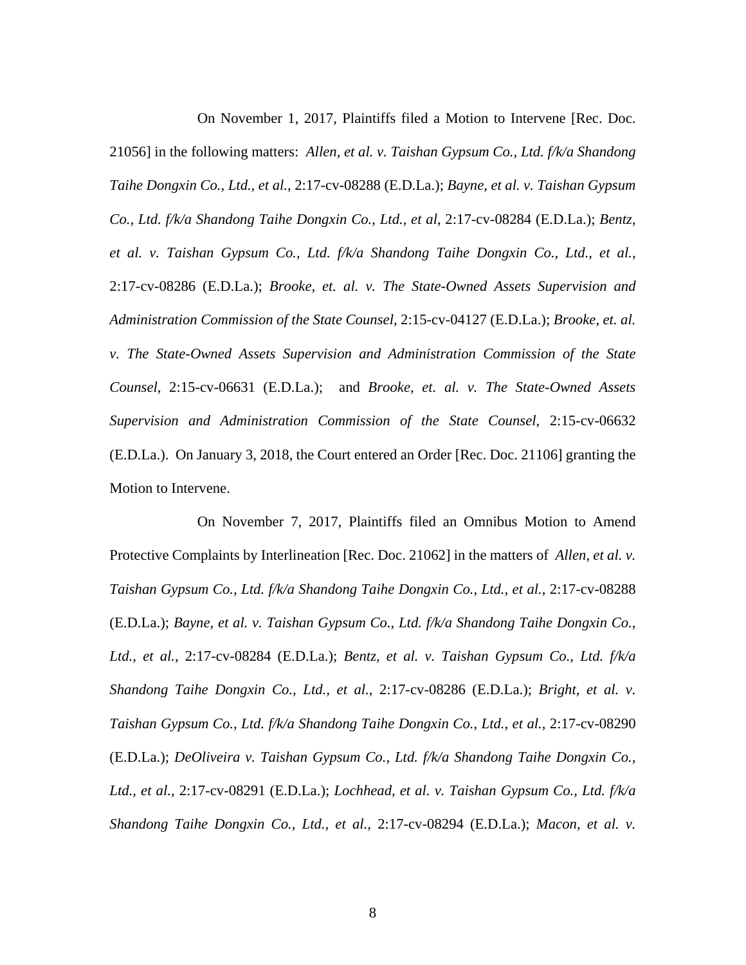On November 1, 2017, Plaintiffs filed a Motion to Intervene [Rec. Doc. 21056] in the following matters: *Allen, et al. v. Taishan Gypsum Co., Ltd. f/k/a Shandong Taihe Dongxin Co., Ltd., et al.*, 2:17-cv-08288 (E.D.La.); *Bayne, et al. v. Taishan Gypsum Co., Ltd. f/k/a Shandong Taihe Dongxin Co., Ltd., et al*, 2:17-cv-08284 (E.D.La.); *Bentz, et al. v. Taishan Gypsum Co., Ltd. f/k/a Shandong Taihe Dongxin Co., Ltd., et al.*, 2:17-cv-08286 (E.D.La.); *Brooke, et. al. v. The State-Owned Assets Supervision and Administration Commission of the State Counsel*, 2:15-cv-04127 (E.D.La.); *Brooke, et. al. v. The State-Owned Assets Supervision and Administration Commission of the State Counsel*, 2:15-cv-06631 (E.D.La.); and *Brooke, et. al. v. The State-Owned Assets Supervision and Administration Commission of the State Counsel*, 2:15-cv-06632 (E.D.La.). On January 3, 2018, the Court entered an Order [Rec. Doc. 21106] granting the Motion to Intervene.

On November 7, 2017, Plaintiffs filed an Omnibus Motion to Amend Protective Complaints by Interlineation [Rec. Doc. 21062] in the matters of *Allen, et al. v. Taishan Gypsum Co., Ltd. f/k/a Shandong Taihe Dongxin Co., Ltd., et al.*, 2:17-cv-08288 (E.D.La.); *Bayne, et al. v. Taishan Gypsum Co., Ltd. f/k/a Shandong Taihe Dongxin Co., Ltd., et al.*, 2:17-cv-08284 (E.D.La.); *Bentz, et al. v. Taishan Gypsum Co., Ltd. f/k/a Shandong Taihe Dongxin Co., Ltd., et al.*, 2:17-cv-08286 (E.D.La.); *Bright, et al. v. Taishan Gypsum Co., Ltd. f/k/a Shandong Taihe Dongxin Co., Ltd., et al.,* 2:17-cv-08290 (E.D.La.); *DeOliveira v. Taishan Gypsum Co., Ltd. f/k/a Shandong Taihe Dongxin Co., Ltd., et al.,* 2:17-cv-08291 (E.D.La.); *Lochhead, et al. v. Taishan Gypsum Co., Ltd. f/k/a Shandong Taihe Dongxin Co., Ltd., et al.,* 2:17-cv-08294 (E.D.La.); *Macon, et al. v.*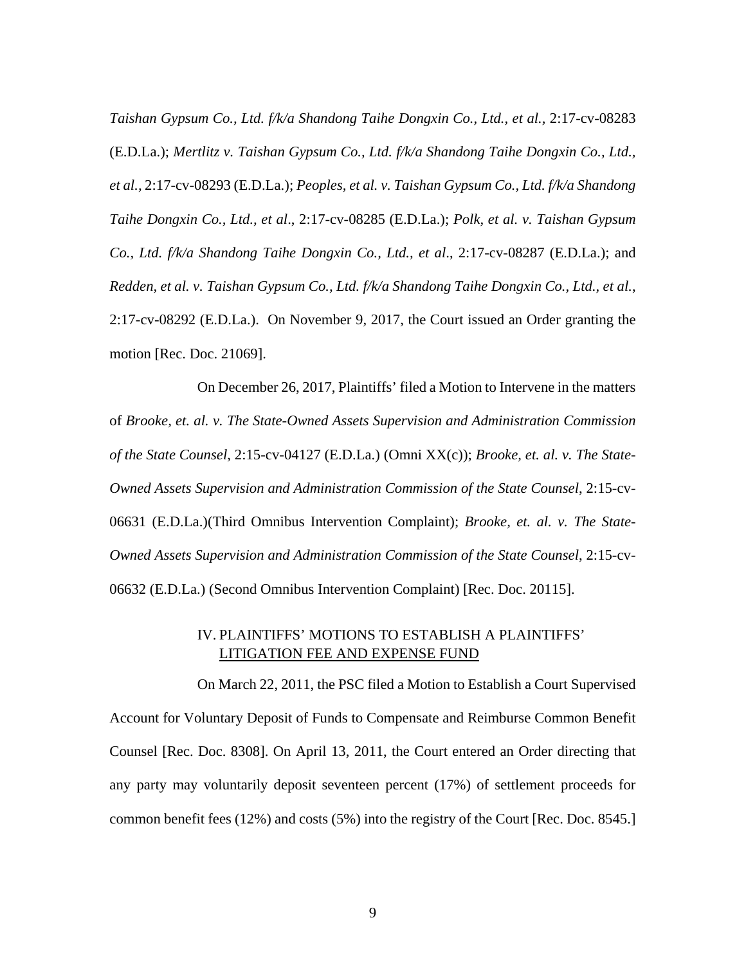*Taishan Gypsum Co., Ltd. f/k/a Shandong Taihe Dongxin Co., Ltd., et al., 2:17-cv-08283* (E.D.La.); *Mertlitz v. Taishan Gypsum Co., Ltd. f/k/a Shandong Taihe Dongxin Co., Ltd., et al.,* 2:17-cv-08293 (E.D.La.); *Peoples, et al. v. Taishan Gypsum Co., Ltd. f/k/a Shandong Taihe Dongxin Co., Ltd., et al*., 2:17-cv-08285 (E.D.La.); *Polk, et al. v. Taishan Gypsum Co., Ltd. f/k/a Shandong Taihe Dongxin Co., Ltd., et al*., 2:17-cv-08287 (E.D.La.); and *Redden, et al. v. Taishan Gypsum Co., Ltd. f/k/a Shandong Taihe Dongxin Co., Ltd., et al.*, 2:17-cv-08292 (E.D.La.). On November 9, 2017, the Court issued an Order granting the motion [Rec. Doc. 21069].

On December 26, 2017, Plaintiffs' filed a Motion to Intervene in the matters of *Brooke, et. al. v. The State-Owned Assets Supervision and Administration Commission of the State Counsel*, 2:15-cv-04127 (E.D.La.) (Omni XX(c)); *Brooke, et. al. v. The State-Owned Assets Supervision and Administration Commission of the State Counsel*, 2:15-cv-06631 (E.D.La.)(Third Omnibus Intervention Complaint); *Brooke, et. al. v. The State-Owned Assets Supervision and Administration Commission of the State Counsel*, 2:15-cv-06632 (E.D.La.) (Second Omnibus Intervention Complaint) [Rec. Doc. 20115].

# IV. PLAINTIFFS' MOTIONS TO ESTABLISH A PLAINTIFFS' LITIGATION FEE AND EXPENSE FUND

On March 22, 2011, the PSC filed a Motion to Establish a Court Supervised Account for Voluntary Deposit of Funds to Compensate and Reimburse Common Benefit Counsel [Rec. Doc. 8308]. On April 13, 2011, the Court entered an Order directing that any party may voluntarily deposit seventeen percent (17%) of settlement proceeds for common benefit fees (12%) and costs (5%) into the registry of the Court [Rec. Doc. 8545.]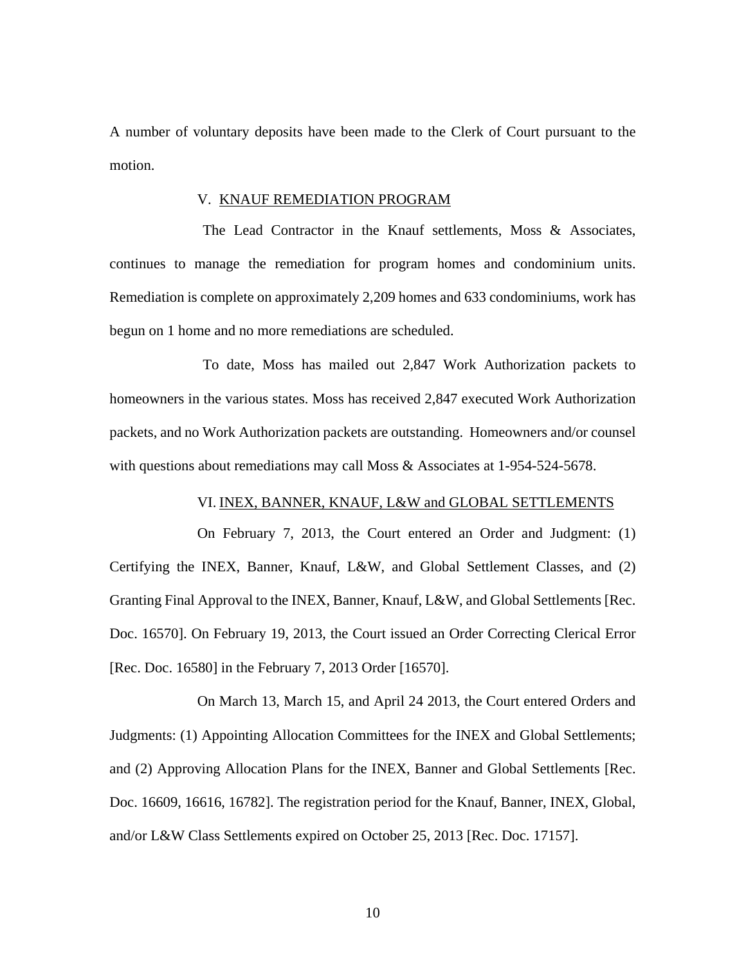A number of voluntary deposits have been made to the Clerk of Court pursuant to the motion.

#### V. KNAUF REMEDIATION PROGRAM

The Lead Contractor in the Knauf settlements, Moss & Associates, continues to manage the remediation for program homes and condominium units. Remediation is complete on approximately 2,209 homes and 633 condominiums, work has begun on 1 home and no more remediations are scheduled.

To date, Moss has mailed out 2,847 Work Authorization packets to homeowners in the various states. Moss has received 2,847 executed Work Authorization packets, and no Work Authorization packets are outstanding. Homeowners and/or counsel with questions about remediations may call Moss & Associates at 1-954-524-5678.

# VI. INEX, BANNER, KNAUF, L&W and GLOBAL SETTLEMENTS

On February 7, 2013, the Court entered an Order and Judgment: (1) Certifying the INEX, Banner, Knauf, L&W, and Global Settlement Classes, and (2) Granting Final Approval to the INEX, Banner, Knauf, L&W, and Global Settlements [Rec. Doc. 16570]. On February 19, 2013, the Court issued an Order Correcting Clerical Error [Rec. Doc. 16580] in the February 7, 2013 Order [16570].

On March 13, March 15, and April 24 2013, the Court entered Orders and Judgments: (1) Appointing Allocation Committees for the INEX and Global Settlements; and (2) Approving Allocation Plans for the INEX, Banner and Global Settlements [Rec. Doc. 16609, 16616, 16782]. The registration period for the Knauf, Banner, INEX, Global, and/or L&W Class Settlements expired on October 25, 2013 [Rec. Doc. 17157].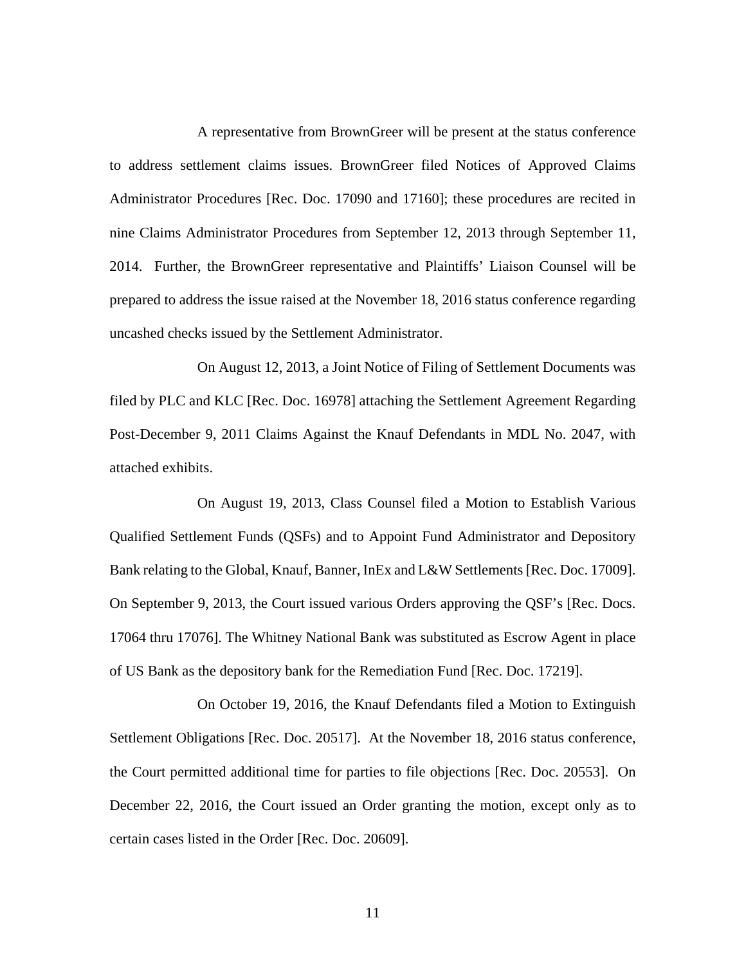A representative from BrownGreer will be present at the status conference to address settlement claims issues. BrownGreer filed Notices of Approved Claims Administrator Procedures [Rec. Doc. 17090 and 17160]; these procedures are recited in nine Claims Administrator Procedures from September 12, 2013 through September 11, 2014. Further, the BrownGreer representative and Plaintiffs' Liaison Counsel will be prepared to address the issue raised at the November 18, 2016 status conference regarding uncashed checks issued by the Settlement Administrator.

On August 12, 2013, a Joint Notice of Filing of Settlement Documents was filed by PLC and KLC [Rec. Doc. 16978] attaching the Settlement Agreement Regarding Post-December 9, 2011 Claims Against the Knauf Defendants in MDL No. 2047, with attached exhibits.

On August 19, 2013, Class Counsel filed a Motion to Establish Various Qualified Settlement Funds (QSFs) and to Appoint Fund Administrator and Depository Bank relating to the Global, Knauf, Banner, InEx and L&W Settlements [Rec. Doc. 17009]. On September 9, 2013, the Court issued various Orders approving the QSF's [Rec. Docs. 17064 thru 17076]. The Whitney National Bank was substituted as Escrow Agent in place of US Bank as the depository bank for the Remediation Fund [Rec. Doc. 17219].

On October 19, 2016, the Knauf Defendants filed a Motion to Extinguish Settlement Obligations [Rec. Doc. 20517]. At the November 18, 2016 status conference, the Court permitted additional time for parties to file objections [Rec. Doc. 20553]. On December 22, 2016, the Court issued an Order granting the motion, except only as to certain cases listed in the Order [Rec. Doc. 20609].

11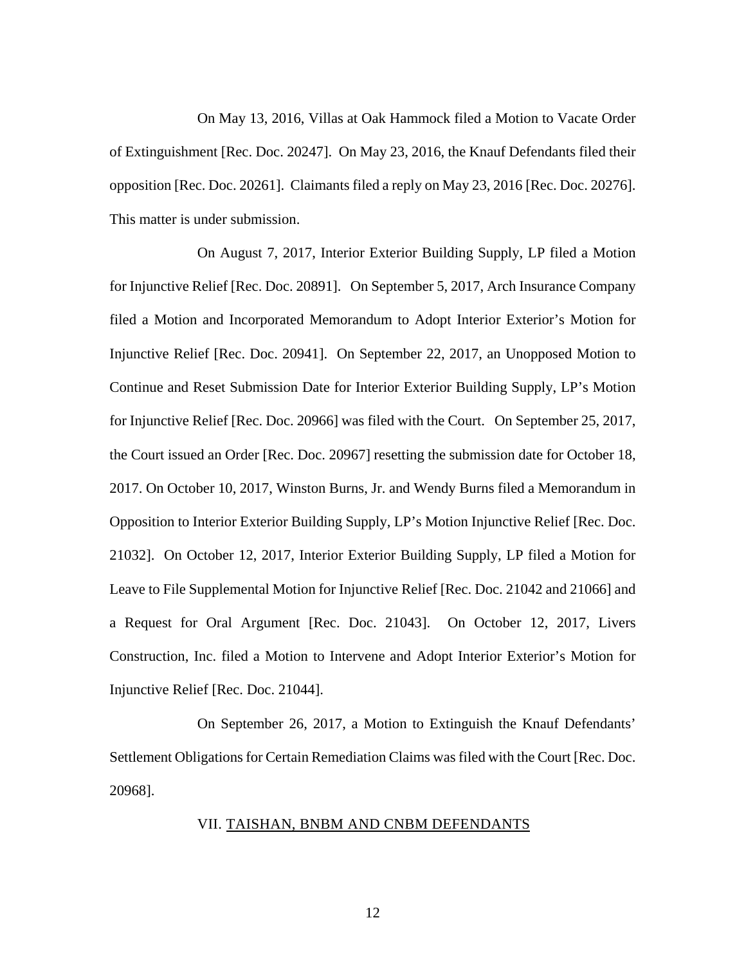On May 13, 2016, Villas at Oak Hammock filed a Motion to Vacate Order of Extinguishment [Rec. Doc. 20247]. On May 23, 2016, the Knauf Defendants filed their opposition [Rec. Doc. 20261]. Claimants filed a reply on May 23, 2016 [Rec. Doc. 20276]. This matter is under submission.

On August 7, 2017, Interior Exterior Building Supply, LP filed a Motion for Injunctive Relief [Rec. Doc. 20891]. On September 5, 2017, Arch Insurance Company filed a Motion and Incorporated Memorandum to Adopt Interior Exterior's Motion for Injunctive Relief [Rec. Doc. 20941]. On September 22, 2017, an Unopposed Motion to Continue and Reset Submission Date for Interior Exterior Building Supply, LP's Motion for Injunctive Relief [Rec. Doc. 20966] was filed with the Court. On September 25, 2017, the Court issued an Order [Rec. Doc. 20967] resetting the submission date for October 18, 2017. On October 10, 2017, Winston Burns, Jr. and Wendy Burns filed a Memorandum in Opposition to Interior Exterior Building Supply, LP's Motion Injunctive Relief [Rec. Doc. 21032]. On October 12, 2017, Interior Exterior Building Supply, LP filed a Motion for Leave to File Supplemental Motion for Injunctive Relief [Rec. Doc. 21042 and 21066] and a Request for Oral Argument [Rec. Doc. 21043]. On October 12, 2017, Livers Construction, Inc. filed a Motion to Intervene and Adopt Interior Exterior's Motion for Injunctive Relief [Rec. Doc. 21044].

On September 26, 2017, a Motion to Extinguish the Knauf Defendants' Settlement Obligations for Certain Remediation Claims was filed with the Court [Rec. Doc. 20968].

## VII. TAISHAN, BNBM AND CNBM DEFENDANTS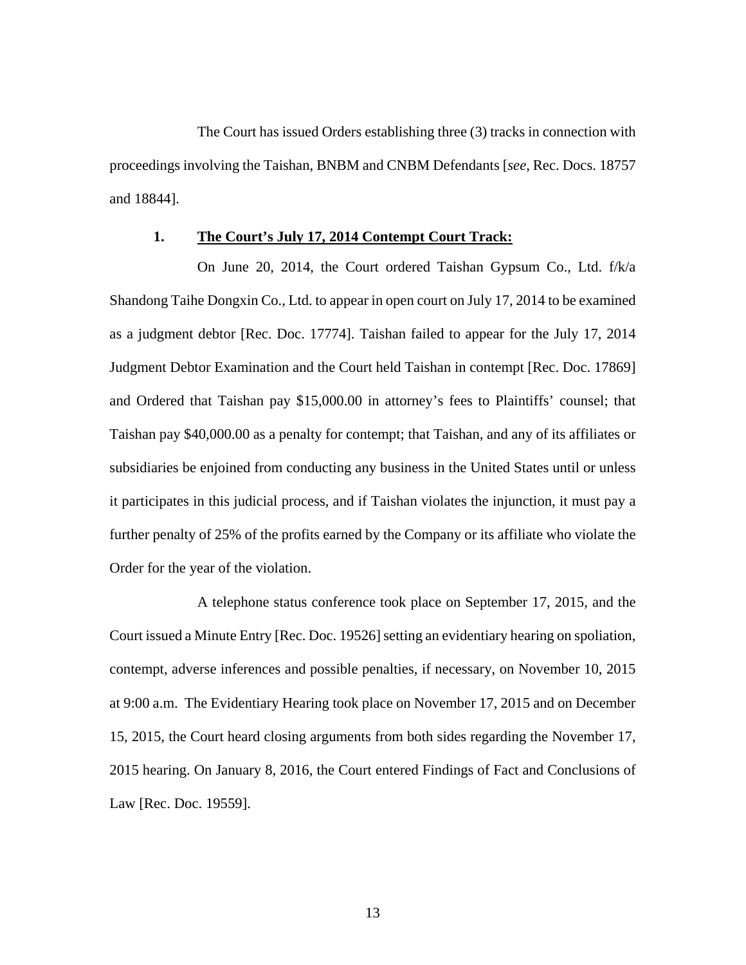The Court has issued Orders establishing three (3) tracks in connection with proceedings involving the Taishan, BNBM and CNBM Defendants [*see*, Rec. Docs. 18757 and 18844].

## **1. The Court's July 17, 2014 Contempt Court Track:**

On June 20, 2014, the Court ordered Taishan Gypsum Co., Ltd. f/k/a Shandong Taihe Dongxin Co., Ltd. to appear in open court on July 17, 2014 to be examined as a judgment debtor [Rec. Doc. 17774]. Taishan failed to appear for the July 17, 2014 Judgment Debtor Examination and the Court held Taishan in contempt [Rec. Doc. 17869] and Ordered that Taishan pay \$15,000.00 in attorney's fees to Plaintiffs' counsel; that Taishan pay \$40,000.00 as a penalty for contempt; that Taishan, and any of its affiliates or subsidiaries be enjoined from conducting any business in the United States until or unless it participates in this judicial process, and if Taishan violates the injunction, it must pay a further penalty of 25% of the profits earned by the Company or its affiliate who violate the Order for the year of the violation.

A telephone status conference took place on September 17, 2015, and the Court issued a Minute Entry [Rec. Doc. 19526] setting an evidentiary hearing on spoliation, contempt, adverse inferences and possible penalties, if necessary, on November 10, 2015 at 9:00 a.m. The Evidentiary Hearing took place on November 17, 2015 and on December 15, 2015, the Court heard closing arguments from both sides regarding the November 17, 2015 hearing. On January 8, 2016, the Court entered Findings of Fact and Conclusions of Law [Rec. Doc. 19559].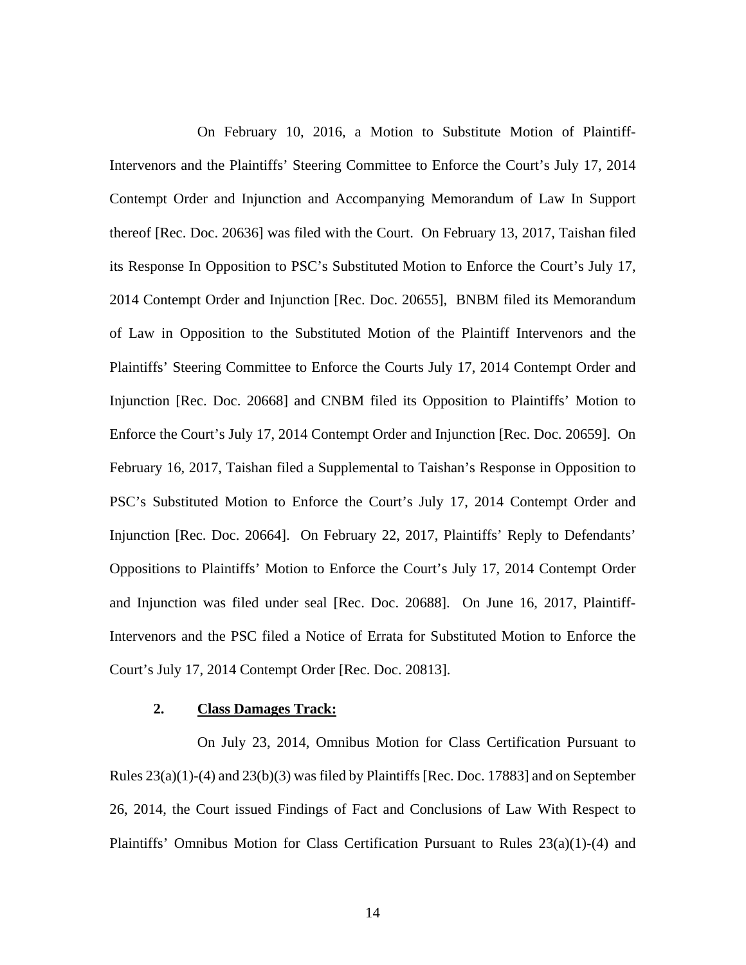On February 10, 2016, a Motion to Substitute Motion of Plaintiff-Intervenors and the Plaintiffs' Steering Committee to Enforce the Court's July 17, 2014 Contempt Order and Injunction and Accompanying Memorandum of Law In Support thereof [Rec. Doc. 20636] was filed with the Court. On February 13, 2017, Taishan filed its Response In Opposition to PSC's Substituted Motion to Enforce the Court's July 17, 2014 Contempt Order and Injunction [Rec. Doc. 20655], BNBM filed its Memorandum of Law in Opposition to the Substituted Motion of the Plaintiff Intervenors and the Plaintiffs' Steering Committee to Enforce the Courts July 17, 2014 Contempt Order and Injunction [Rec. Doc. 20668] and CNBM filed its Opposition to Plaintiffs' Motion to Enforce the Court's July 17, 2014 Contempt Order and Injunction [Rec. Doc. 20659]. On February 16, 2017, Taishan filed a Supplemental to Taishan's Response in Opposition to PSC's Substituted Motion to Enforce the Court's July 17, 2014 Contempt Order and Injunction [Rec. Doc. 20664]. On February 22, 2017, Plaintiffs' Reply to Defendants' Oppositions to Plaintiffs' Motion to Enforce the Court's July 17, 2014 Contempt Order and Injunction was filed under seal [Rec. Doc. 20688]. On June 16, 2017, Plaintiff-Intervenors and the PSC filed a Notice of Errata for Substituted Motion to Enforce the Court's July 17, 2014 Contempt Order [Rec. Doc. 20813].

## **2. Class Damages Track:**

On July 23, 2014, Omnibus Motion for Class Certification Pursuant to Rules  $23(a)(1)-(4)$  and  $23(b)(3)$  was filed by Plaintiffs [Rec. Doc. 17883] and on September 26, 2014, the Court issued Findings of Fact and Conclusions of Law With Respect to Plaintiffs' Omnibus Motion for Class Certification Pursuant to Rules 23(a)(1)-(4) and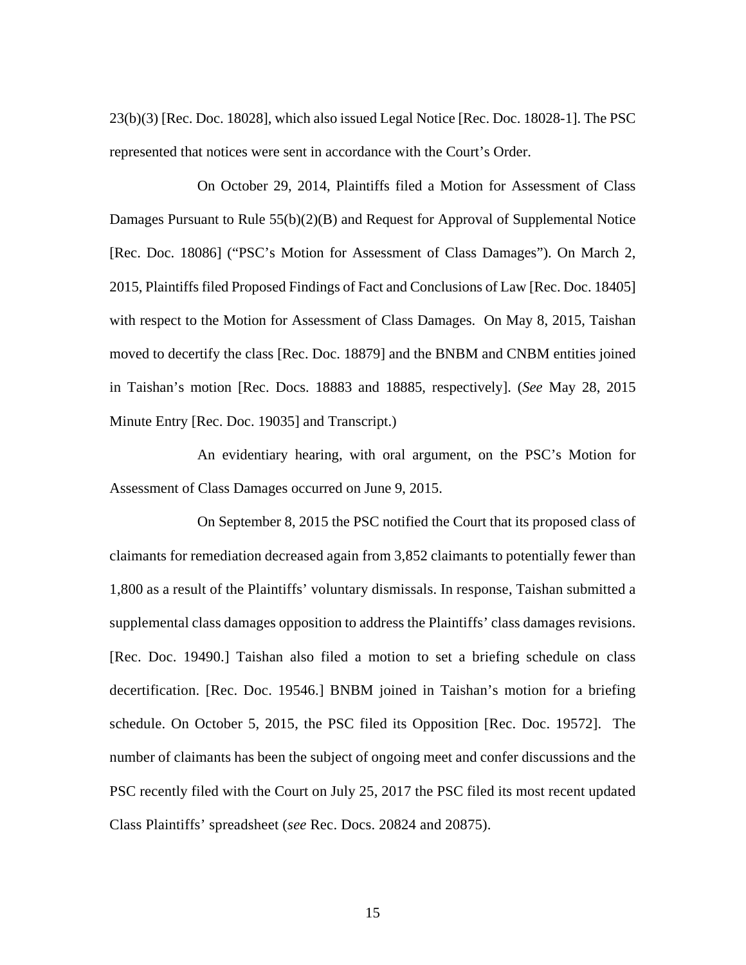23(b)(3) [Rec. Doc. 18028], which also issued Legal Notice [Rec. Doc. 18028-1]. The PSC represented that notices were sent in accordance with the Court's Order.

On October 29, 2014, Plaintiffs filed a Motion for Assessment of Class Damages Pursuant to Rule 55(b)(2)(B) and Request for Approval of Supplemental Notice [Rec. Doc. 18086] ("PSC's Motion for Assessment of Class Damages"). On March 2, 2015, Plaintiffs filed Proposed Findings of Fact and Conclusions of Law [Rec. Doc. 18405] with respect to the Motion for Assessment of Class Damages. On May 8, 2015, Taishan moved to decertify the class [Rec. Doc. 18879] and the BNBM and CNBM entities joined in Taishan's motion [Rec. Docs. 18883 and 18885, respectively]. (*See* May 28, 2015 Minute Entry [Rec. Doc. 19035] and Transcript.)

An evidentiary hearing, with oral argument, on the PSC's Motion for Assessment of Class Damages occurred on June 9, 2015.

On September 8, 2015 the PSC notified the Court that its proposed class of claimants for remediation decreased again from 3,852 claimants to potentially fewer than 1,800 as a result of the Plaintiffs' voluntary dismissals. In response, Taishan submitted a supplemental class damages opposition to address the Plaintiffs' class damages revisions. [Rec. Doc. 19490.] Taishan also filed a motion to set a briefing schedule on class decertification. [Rec. Doc. 19546.] BNBM joined in Taishan's motion for a briefing schedule. On October 5, 2015, the PSC filed its Opposition [Rec. Doc. 19572]. The number of claimants has been the subject of ongoing meet and confer discussions and the PSC recently filed with the Court on July 25, 2017 the PSC filed its most recent updated Class Plaintiffs' spreadsheet (*see* Rec. Docs. 20824 and 20875).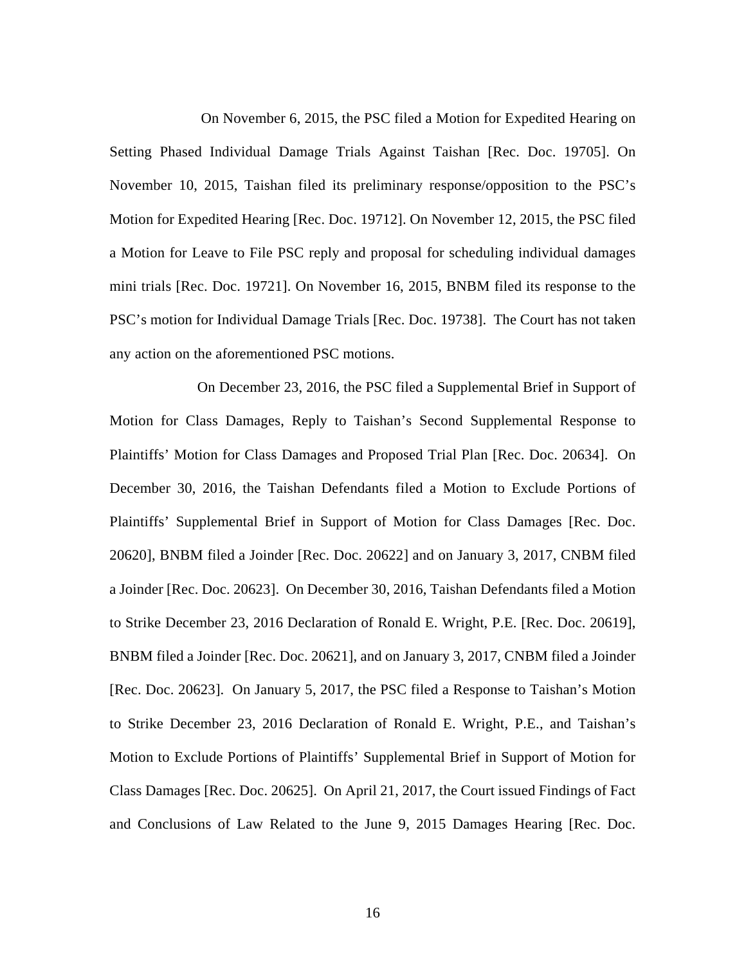On November 6, 2015, the PSC filed a Motion for Expedited Hearing on Setting Phased Individual Damage Trials Against Taishan [Rec. Doc. 19705]. On November 10, 2015, Taishan filed its preliminary response/opposition to the PSC's Motion for Expedited Hearing [Rec. Doc. 19712]. On November 12, 2015, the PSC filed a Motion for Leave to File PSC reply and proposal for scheduling individual damages mini trials [Rec. Doc. 19721]. On November 16, 2015, BNBM filed its response to the PSC's motion for Individual Damage Trials [Rec. Doc. 19738]. The Court has not taken any action on the aforementioned PSC motions.

On December 23, 2016, the PSC filed a Supplemental Brief in Support of Motion for Class Damages, Reply to Taishan's Second Supplemental Response to Plaintiffs' Motion for Class Damages and Proposed Trial Plan [Rec. Doc. 20634]. On December 30, 2016, the Taishan Defendants filed a Motion to Exclude Portions of Plaintiffs' Supplemental Brief in Support of Motion for Class Damages [Rec. Doc. 20620], BNBM filed a Joinder [Rec. Doc. 20622] and on January 3, 2017, CNBM filed a Joinder [Rec. Doc. 20623]. On December 30, 2016, Taishan Defendants filed a Motion to Strike December 23, 2016 Declaration of Ronald E. Wright, P.E. [Rec. Doc. 20619], BNBM filed a Joinder [Rec. Doc. 20621], and on January 3, 2017, CNBM filed a Joinder [Rec. Doc. 20623]. On January 5, 2017, the PSC filed a Response to Taishan's Motion to Strike December 23, 2016 Declaration of Ronald E. Wright, P.E., and Taishan's Motion to Exclude Portions of Plaintiffs' Supplemental Brief in Support of Motion for Class Damages [Rec. Doc. 20625]. On April 21, 2017, the Court issued Findings of Fact and Conclusions of Law Related to the June 9, 2015 Damages Hearing [Rec. Doc.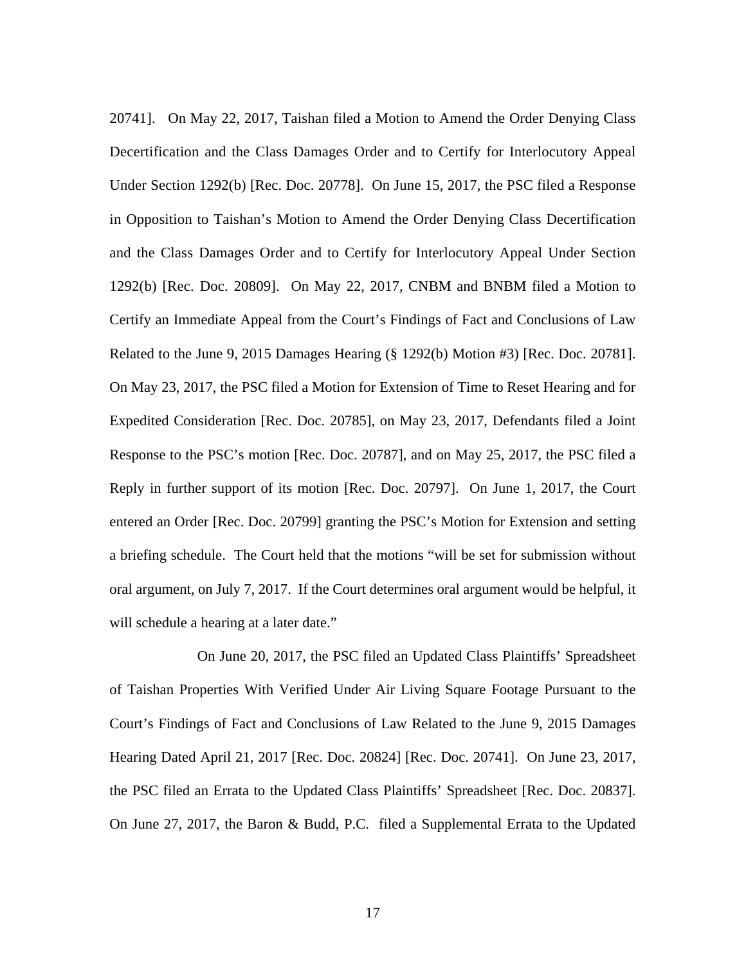20741]. On May 22, 2017, Taishan filed a Motion to Amend the Order Denying Class Decertification and the Class Damages Order and to Certify for Interlocutory Appeal Under Section 1292(b) [Rec. Doc. 20778]. On June 15, 2017, the PSC filed a Response in Opposition to Taishan's Motion to Amend the Order Denying Class Decertification and the Class Damages Order and to Certify for Interlocutory Appeal Under Section 1292(b) [Rec. Doc. 20809]. On May 22, 2017, CNBM and BNBM filed a Motion to Certify an Immediate Appeal from the Court's Findings of Fact and Conclusions of Law Related to the June 9, 2015 Damages Hearing (§ 1292(b) Motion #3) [Rec. Doc. 20781]. On May 23, 2017, the PSC filed a Motion for Extension of Time to Reset Hearing and for Expedited Consideration [Rec. Doc. 20785], on May 23, 2017, Defendants filed a Joint Response to the PSC's motion [Rec. Doc. 20787], and on May 25, 2017, the PSC filed a Reply in further support of its motion [Rec. Doc. 20797]. On June 1, 2017, the Court entered an Order [Rec. Doc. 20799] granting the PSC's Motion for Extension and setting a briefing schedule. The Court held that the motions "will be set for submission without oral argument, on July 7, 2017. If the Court determines oral argument would be helpful, it will schedule a hearing at a later date."

On June 20, 2017, the PSC filed an Updated Class Plaintiffs' Spreadsheet of Taishan Properties With Verified Under Air Living Square Footage Pursuant to the Court's Findings of Fact and Conclusions of Law Related to the June 9, 2015 Damages Hearing Dated April 21, 2017 [Rec. Doc. 20824] [Rec. Doc. 20741]. On June 23, 2017, the PSC filed an Errata to the Updated Class Plaintiffs' Spreadsheet [Rec. Doc. 20837]. On June 27, 2017, the Baron & Budd, P.C. filed a Supplemental Errata to the Updated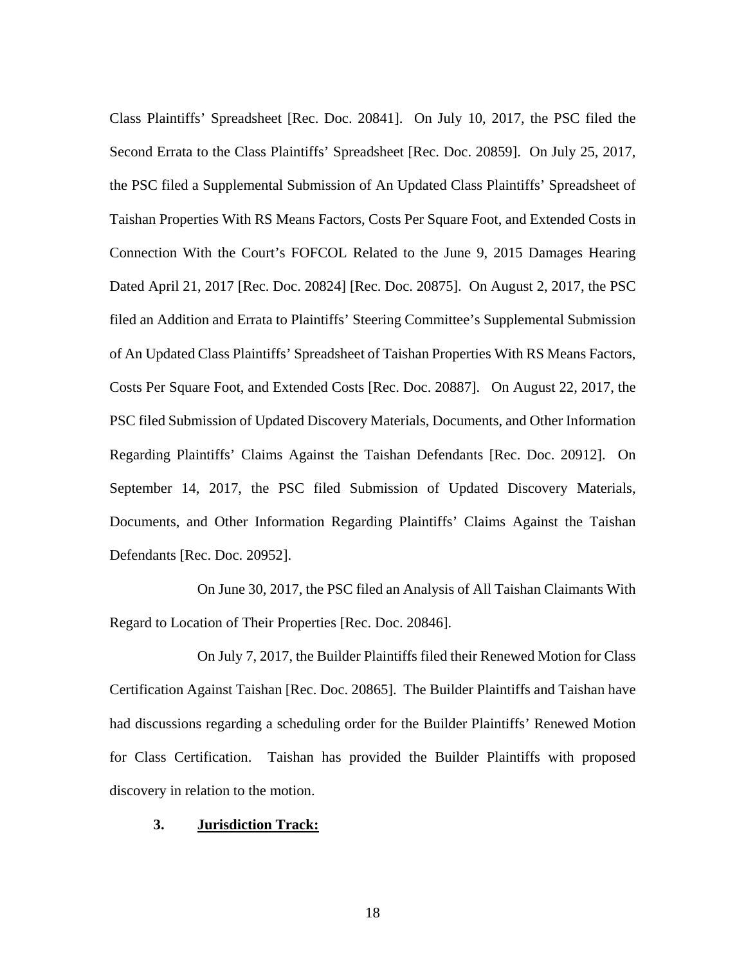Class Plaintiffs' Spreadsheet [Rec. Doc. 20841]. On July 10, 2017, the PSC filed the Second Errata to the Class Plaintiffs' Spreadsheet [Rec. Doc. 20859]. On July 25, 2017, the PSC filed a Supplemental Submission of An Updated Class Plaintiffs' Spreadsheet of Taishan Properties With RS Means Factors, Costs Per Square Foot, and Extended Costs in Connection With the Court's FOFCOL Related to the June 9, 2015 Damages Hearing Dated April 21, 2017 [Rec. Doc. 20824] [Rec. Doc. 20875]. On August 2, 2017, the PSC filed an Addition and Errata to Plaintiffs' Steering Committee's Supplemental Submission of An Updated Class Plaintiffs' Spreadsheet of Taishan Properties With RS Means Factors, Costs Per Square Foot, and Extended Costs [Rec. Doc. 20887]. On August 22, 2017, the PSC filed Submission of Updated Discovery Materials, Documents, and Other Information Regarding Plaintiffs' Claims Against the Taishan Defendants [Rec. Doc. 20912]. On September 14, 2017, the PSC filed Submission of Updated Discovery Materials, Documents, and Other Information Regarding Plaintiffs' Claims Against the Taishan Defendants [Rec. Doc. 20952].

On June 30, 2017, the PSC filed an Analysis of All Taishan Claimants With Regard to Location of Their Properties [Rec. Doc. 20846].

On July 7, 2017, the Builder Plaintiffs filed their Renewed Motion for Class Certification Against Taishan [Rec. Doc. 20865]. The Builder Plaintiffs and Taishan have had discussions regarding a scheduling order for the Builder Plaintiffs' Renewed Motion for Class Certification. Taishan has provided the Builder Plaintiffs with proposed discovery in relation to the motion.

## **3. Jurisdiction Track:**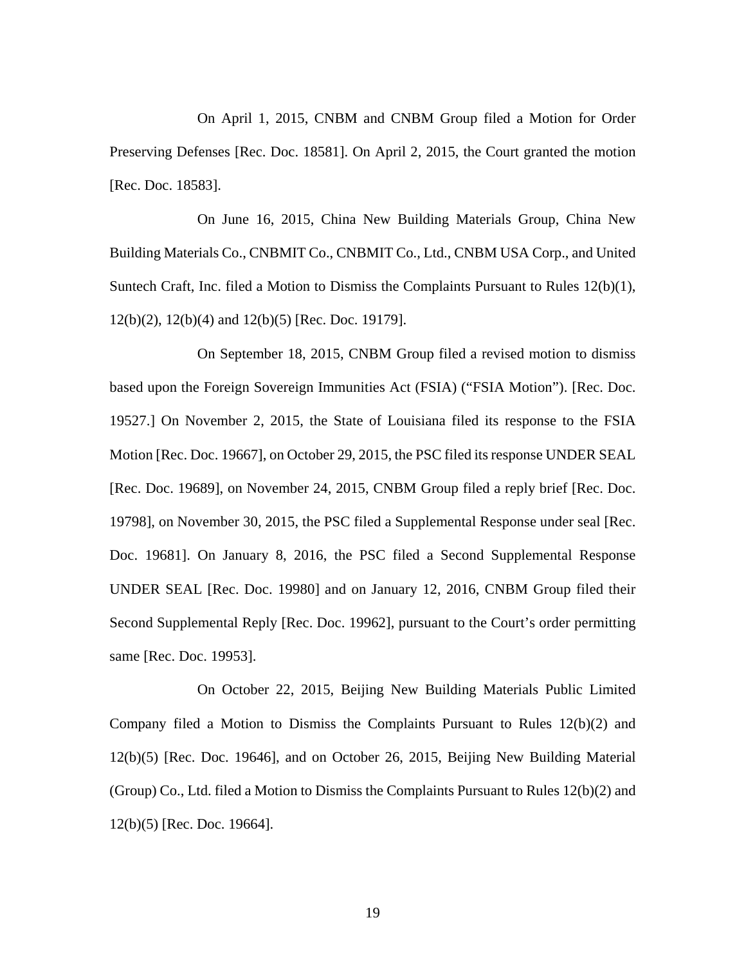On April 1, 2015, CNBM and CNBM Group filed a Motion for Order Preserving Defenses [Rec. Doc. 18581]. On April 2, 2015, the Court granted the motion [Rec. Doc. 18583].

On June 16, 2015, China New Building Materials Group, China New Building Materials Co., CNBMIT Co., CNBMIT Co., Ltd., CNBM USA Corp., and United Suntech Craft, Inc. filed a Motion to Dismiss the Complaints Pursuant to Rules  $12(b)(1)$ , 12(b)(2), 12(b)(4) and 12(b)(5) [Rec. Doc. 19179].

On September 18, 2015, CNBM Group filed a revised motion to dismiss based upon the Foreign Sovereign Immunities Act (FSIA) ("FSIA Motion"). [Rec. Doc. 19527.] On November 2, 2015, the State of Louisiana filed its response to the FSIA Motion [Rec. Doc. 19667], on October 29, 2015, the PSC filed its response UNDER SEAL [Rec. Doc. 19689], on November 24, 2015, CNBM Group filed a reply brief [Rec. Doc. 19798], on November 30, 2015, the PSC filed a Supplemental Response under seal [Rec. Doc. 19681]. On January 8, 2016, the PSC filed a Second Supplemental Response UNDER SEAL [Rec. Doc. 19980] and on January 12, 2016, CNBM Group filed their Second Supplemental Reply [Rec. Doc. 19962], pursuant to the Court's order permitting same [Rec. Doc. 19953].

On October 22, 2015, Beijing New Building Materials Public Limited Company filed a Motion to Dismiss the Complaints Pursuant to Rules 12(b)(2) and 12(b)(5) [Rec. Doc. 19646], and on October 26, 2015, Beijing New Building Material (Group) Co., Ltd. filed a Motion to Dismiss the Complaints Pursuant to Rules 12(b)(2) and 12(b)(5) [Rec. Doc. 19664].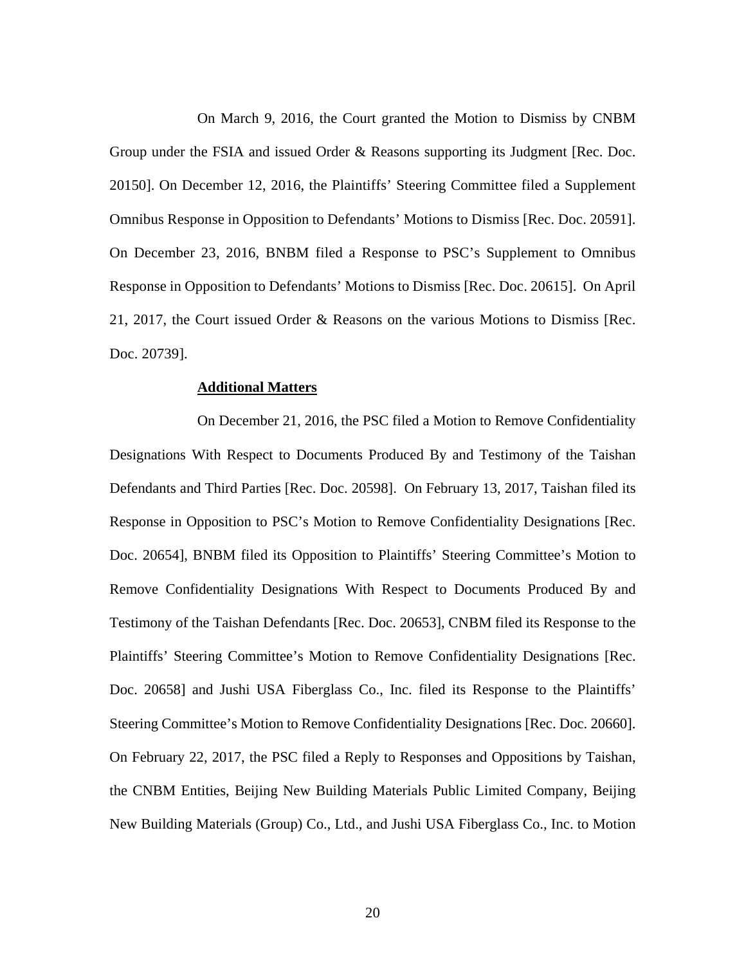On March 9, 2016, the Court granted the Motion to Dismiss by CNBM Group under the FSIA and issued Order & Reasons supporting its Judgment [Rec. Doc. 20150]. On December 12, 2016, the Plaintiffs' Steering Committee filed a Supplement Omnibus Response in Opposition to Defendants' Motions to Dismiss [Rec. Doc. 20591]. On December 23, 2016, BNBM filed a Response to PSC's Supplement to Omnibus Response in Opposition to Defendants' Motions to Dismiss [Rec. Doc. 20615]. On April 21, 2017, the Court issued Order & Reasons on the various Motions to Dismiss [Rec. Doc. 20739].

#### **Additional Matters**

On December 21, 2016, the PSC filed a Motion to Remove Confidentiality Designations With Respect to Documents Produced By and Testimony of the Taishan Defendants and Third Parties [Rec. Doc. 20598]. On February 13, 2017, Taishan filed its Response in Opposition to PSC's Motion to Remove Confidentiality Designations [Rec. Doc. 20654], BNBM filed its Opposition to Plaintiffs' Steering Committee's Motion to Remove Confidentiality Designations With Respect to Documents Produced By and Testimony of the Taishan Defendants [Rec. Doc. 20653], CNBM filed its Response to the Plaintiffs' Steering Committee's Motion to Remove Confidentiality Designations [Rec. Doc. 20658] and Jushi USA Fiberglass Co., Inc. filed its Response to the Plaintiffs' Steering Committee's Motion to Remove Confidentiality Designations [Rec. Doc. 20660]. On February 22, 2017, the PSC filed a Reply to Responses and Oppositions by Taishan, the CNBM Entities, Beijing New Building Materials Public Limited Company, Beijing New Building Materials (Group) Co., Ltd., and Jushi USA Fiberglass Co., Inc. to Motion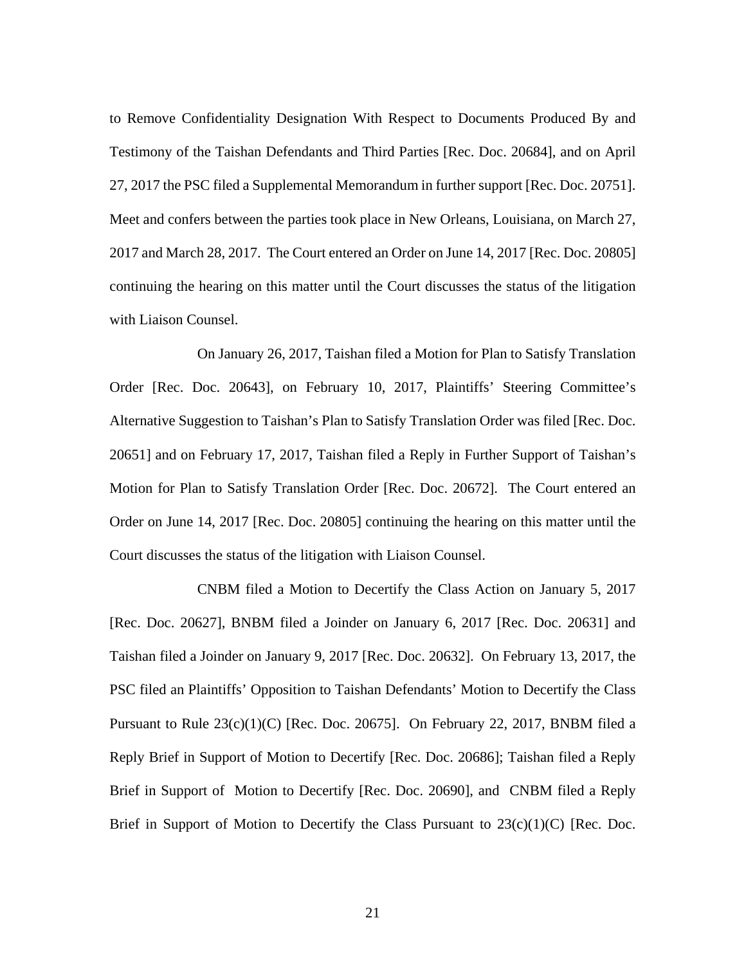to Remove Confidentiality Designation With Respect to Documents Produced By and Testimony of the Taishan Defendants and Third Parties [Rec. Doc. 20684], and on April 27, 2017 the PSC filed a Supplemental Memorandum in further support [Rec. Doc. 20751]. Meet and confers between the parties took place in New Orleans, Louisiana, on March 27, 2017 and March 28, 2017. The Court entered an Order on June 14, 2017 [Rec. Doc. 20805] continuing the hearing on this matter until the Court discusses the status of the litigation with Liaison Counsel.

On January 26, 2017, Taishan filed a Motion for Plan to Satisfy Translation Order [Rec. Doc. 20643], on February 10, 2017, Plaintiffs' Steering Committee's Alternative Suggestion to Taishan's Plan to Satisfy Translation Order was filed [Rec. Doc. 20651] and on February 17, 2017, Taishan filed a Reply in Further Support of Taishan's Motion for Plan to Satisfy Translation Order [Rec. Doc. 20672]. The Court entered an Order on June 14, 2017 [Rec. Doc. 20805] continuing the hearing on this matter until the Court discusses the status of the litigation with Liaison Counsel.

CNBM filed a Motion to Decertify the Class Action on January 5, 2017 [Rec. Doc. 20627], BNBM filed a Joinder on January 6, 2017 [Rec. Doc. 20631] and Taishan filed a Joinder on January 9, 2017 [Rec. Doc. 20632]. On February 13, 2017, the PSC filed an Plaintiffs' Opposition to Taishan Defendants' Motion to Decertify the Class Pursuant to Rule  $23(c)(1)(C)$  [Rec. Doc. 20675]. On February 22, 2017, BNBM filed a Reply Brief in Support of Motion to Decertify [Rec. Doc. 20686]; Taishan filed a Reply Brief in Support of Motion to Decertify [Rec. Doc. 20690], and CNBM filed a Reply Brief in Support of Motion to Decertify the Class Pursuant to  $23(c)(1)(C)$  [Rec. Doc.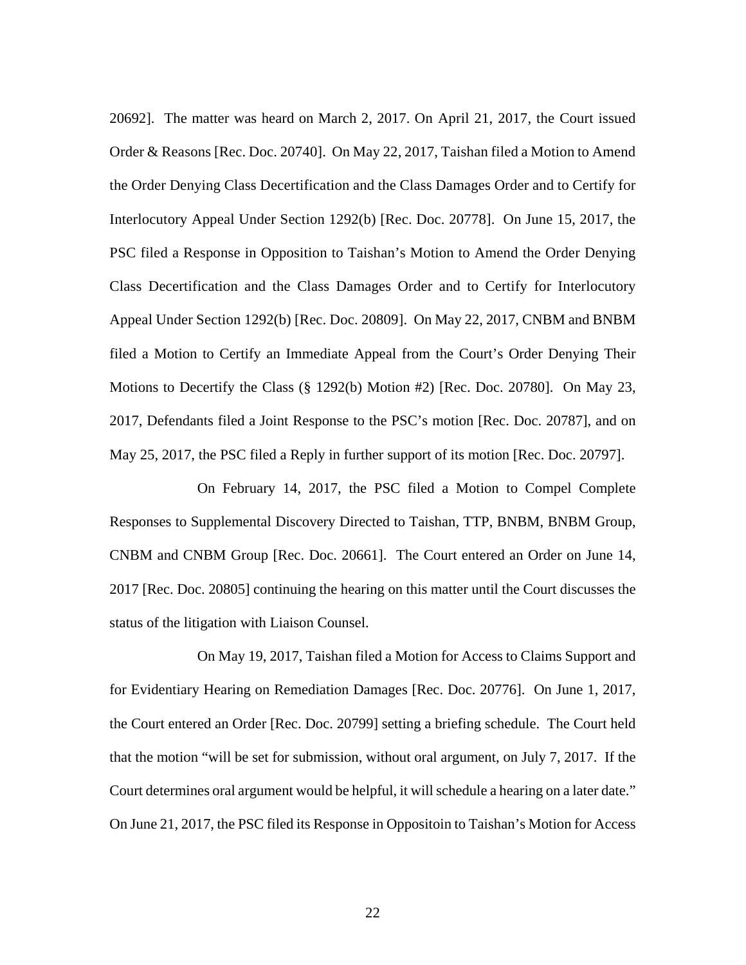20692]. The matter was heard on March 2, 2017. On April 21, 2017, the Court issued Order & Reasons [Rec. Doc. 20740]. On May 22, 2017, Taishan filed a Motion to Amend the Order Denying Class Decertification and the Class Damages Order and to Certify for Interlocutory Appeal Under Section 1292(b) [Rec. Doc. 20778]. On June 15, 2017, the PSC filed a Response in Opposition to Taishan's Motion to Amend the Order Denying Class Decertification and the Class Damages Order and to Certify for Interlocutory Appeal Under Section 1292(b) [Rec. Doc. 20809]. On May 22, 2017, CNBM and BNBM filed a Motion to Certify an Immediate Appeal from the Court's Order Denying Their Motions to Decertify the Class (§ 1292(b) Motion #2) [Rec. Doc. 20780]. On May 23, 2017, Defendants filed a Joint Response to the PSC's motion [Rec. Doc. 20787], and on May 25, 2017, the PSC filed a Reply in further support of its motion [Rec. Doc. 20797].

On February 14, 2017, the PSC filed a Motion to Compel Complete Responses to Supplemental Discovery Directed to Taishan, TTP, BNBM, BNBM Group, CNBM and CNBM Group [Rec. Doc. 20661]. The Court entered an Order on June 14, 2017 [Rec. Doc. 20805] continuing the hearing on this matter until the Court discusses the status of the litigation with Liaison Counsel.

On May 19, 2017, Taishan filed a Motion for Access to Claims Support and for Evidentiary Hearing on Remediation Damages [Rec. Doc. 20776]. On June 1, 2017, the Court entered an Order [Rec. Doc. 20799] setting a briefing schedule. The Court held that the motion "will be set for submission, without oral argument, on July 7, 2017. If the Court determines oral argument would be helpful, it will schedule a hearing on a later date." On June 21, 2017, the PSC filed its Response in Oppositoin to Taishan's Motion for Access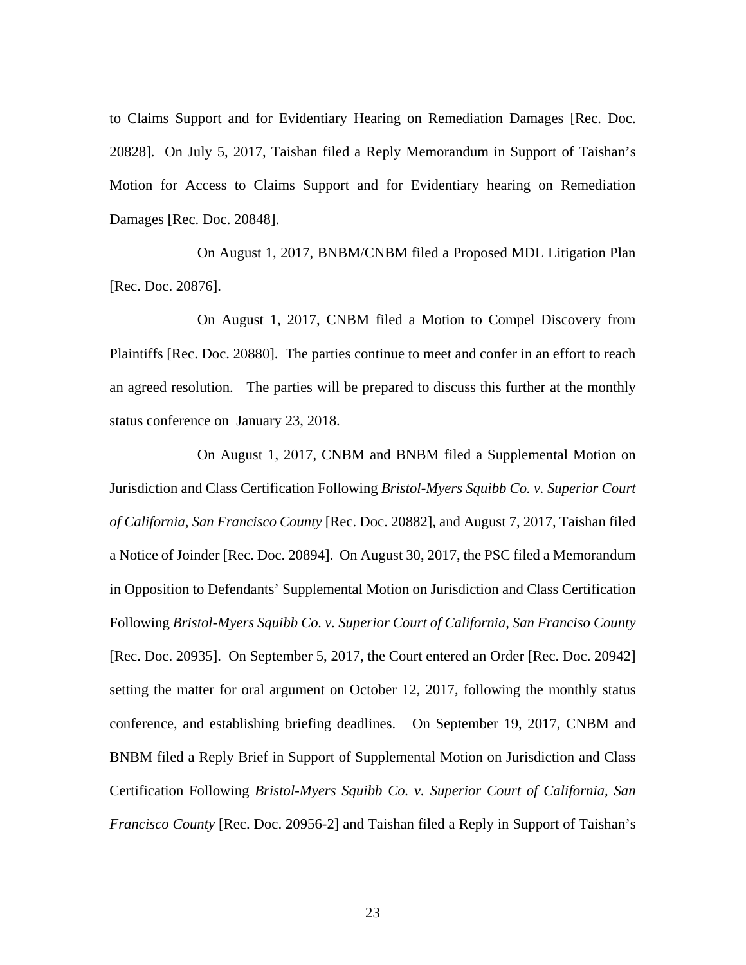to Claims Support and for Evidentiary Hearing on Remediation Damages [Rec. Doc. 20828]. On July 5, 2017, Taishan filed a Reply Memorandum in Support of Taishan's Motion for Access to Claims Support and for Evidentiary hearing on Remediation Damages [Rec. Doc. 20848].

On August 1, 2017, BNBM/CNBM filed a Proposed MDL Litigation Plan [Rec. Doc. 20876].

On August 1, 2017, CNBM filed a Motion to Compel Discovery from Plaintiffs [Rec. Doc. 20880]. The parties continue to meet and confer in an effort to reach an agreed resolution. The parties will be prepared to discuss this further at the monthly status conference on January 23, 2018.

On August 1, 2017, CNBM and BNBM filed a Supplemental Motion on Jurisdiction and Class Certification Following *Bristol-Myers Squibb Co. v. Superior Court of California, San Francisco County* [Rec. Doc. 20882], and August 7, 2017, Taishan filed a Notice of Joinder [Rec. Doc. 20894]. On August 30, 2017, the PSC filed a Memorandum in Opposition to Defendants' Supplemental Motion on Jurisdiction and Class Certification Following *Bristol-Myers Squibb Co. v. Superior Court of California, San Franciso County* [Rec. Doc. 20935]. On September 5, 2017, the Court entered an Order [Rec. Doc. 20942] setting the matter for oral argument on October 12, 2017, following the monthly status conference, and establishing briefing deadlines. On September 19, 2017, CNBM and BNBM filed a Reply Brief in Support of Supplemental Motion on Jurisdiction and Class Certification Following *Bristol-Myers Squibb Co. v. Superior Court of California, San Francisco County* [Rec. Doc. 20956-2] and Taishan filed a Reply in Support of Taishan's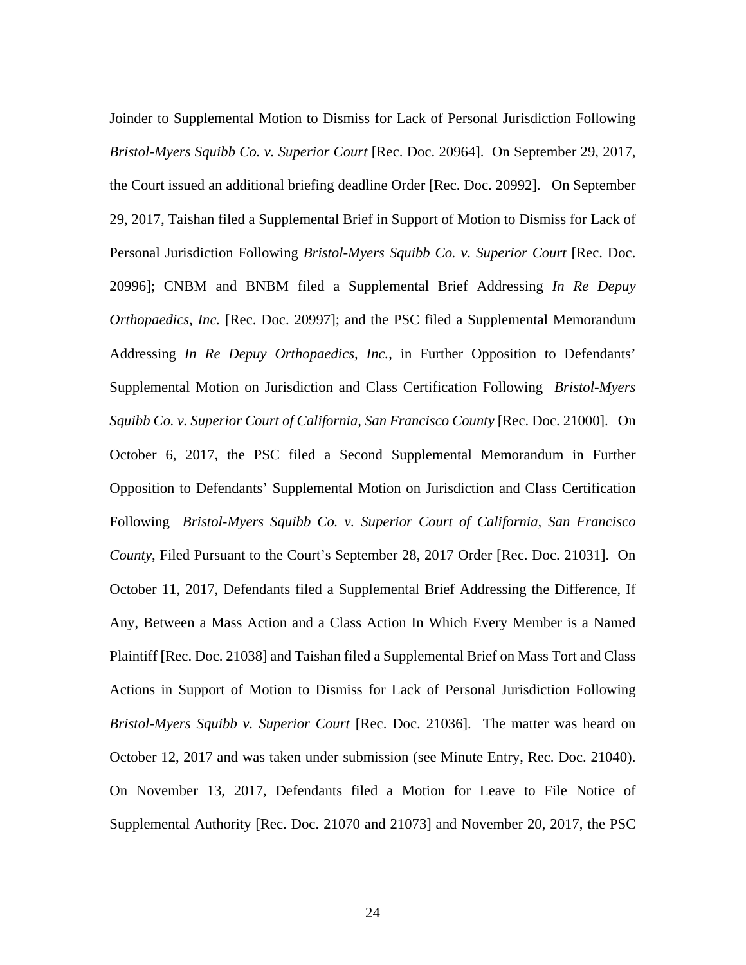Joinder to Supplemental Motion to Dismiss for Lack of Personal Jurisdiction Following *Bristol-Myers Squibb Co. v. Superior Court* [Rec. Doc. 20964]. On September 29, 2017, the Court issued an additional briefing deadline Order [Rec. Doc. 20992]. On September 29, 2017, Taishan filed a Supplemental Brief in Support of Motion to Dismiss for Lack of Personal Jurisdiction Following *Bristol-Myers Squibb Co. v. Superior Court* [Rec. Doc. 20996]; CNBM and BNBM filed a Supplemental Brief Addressing *In Re Depuy Orthopaedics, Inc.* [Rec. Doc. 20997]; and the PSC filed a Supplemental Memorandum Addressing *In Re Depuy Orthopaedics, Inc.*, in Further Opposition to Defendants' Supplemental Motion on Jurisdiction and Class Certification Following *Bristol-Myers Squibb Co. v. Superior Court of California, San Francisco County* [Rec. Doc. 21000]. On October 6, 2017, the PSC filed a Second Supplemental Memorandum in Further Opposition to Defendants' Supplemental Motion on Jurisdiction and Class Certification Following *Bristol-Myers Squibb Co. v. Superior Court of California, San Francisco County*, Filed Pursuant to the Court's September 28, 2017 Order [Rec. Doc. 21031]. On October 11, 2017, Defendants filed a Supplemental Brief Addressing the Difference, If Any, Between a Mass Action and a Class Action In Which Every Member is a Named Plaintiff [Rec. Doc. 21038] and Taishan filed a Supplemental Brief on Mass Tort and Class Actions in Support of Motion to Dismiss for Lack of Personal Jurisdiction Following *Bristol-Myers Squibb v. Superior Court* [Rec. Doc. 21036]. The matter was heard on October 12, 2017 and was taken under submission (see Minute Entry, Rec. Doc. 21040). On November 13, 2017, Defendants filed a Motion for Leave to File Notice of Supplemental Authority [Rec. Doc. 21070 and 21073] and November 20, 2017, the PSC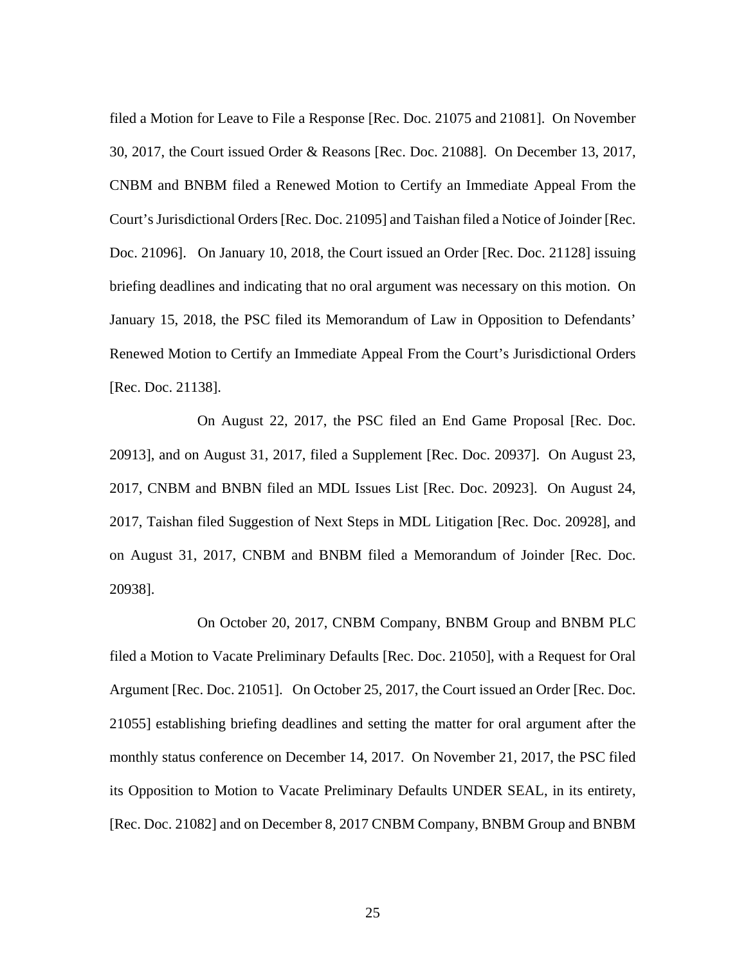filed a Motion for Leave to File a Response [Rec. Doc. 21075 and 21081]. On November 30, 2017, the Court issued Order & Reasons [Rec. Doc. 21088]. On December 13, 2017, CNBM and BNBM filed a Renewed Motion to Certify an Immediate Appeal From the Court's Jurisdictional Orders [Rec. Doc. 21095] and Taishan filed a Notice of Joinder [Rec. Doc. 21096]. On January 10, 2018, the Court issued an Order [Rec. Doc. 21128] issuing briefing deadlines and indicating that no oral argument was necessary on this motion. On January 15, 2018, the PSC filed its Memorandum of Law in Opposition to Defendants' Renewed Motion to Certify an Immediate Appeal From the Court's Jurisdictional Orders [Rec. Doc. 21138].

On August 22, 2017, the PSC filed an End Game Proposal [Rec. Doc. 20913], and on August 31, 2017, filed a Supplement [Rec. Doc. 20937]. On August 23, 2017, CNBM and BNBN filed an MDL Issues List [Rec. Doc. 20923]. On August 24, 2017, Taishan filed Suggestion of Next Steps in MDL Litigation [Rec. Doc. 20928], and on August 31, 2017, CNBM and BNBM filed a Memorandum of Joinder [Rec. Doc. 20938].

On October 20, 2017, CNBM Company, BNBM Group and BNBM PLC filed a Motion to Vacate Preliminary Defaults [Rec. Doc. 21050], with a Request for Oral Argument [Rec. Doc. 21051]. On October 25, 2017, the Court issued an Order [Rec. Doc. 21055] establishing briefing deadlines and setting the matter for oral argument after the monthly status conference on December 14, 2017. On November 21, 2017, the PSC filed its Opposition to Motion to Vacate Preliminary Defaults UNDER SEAL, in its entirety, [Rec. Doc. 21082] and on December 8, 2017 CNBM Company, BNBM Group and BNBM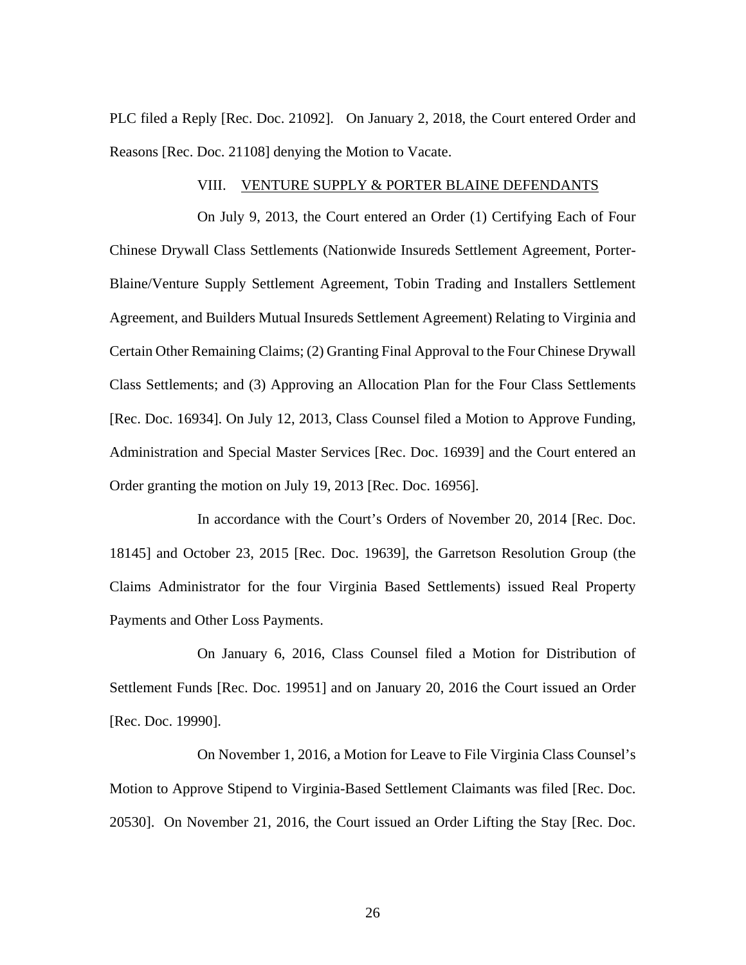PLC filed a Reply [Rec. Doc. 21092]. On January 2, 2018, the Court entered Order and Reasons [Rec. Doc. 21108] denying the Motion to Vacate.

## VIII. VENTURE SUPPLY & PORTER BLAINE DEFENDANTS

On July 9, 2013, the Court entered an Order (1) Certifying Each of Four Chinese Drywall Class Settlements (Nationwide Insureds Settlement Agreement, Porter-Blaine/Venture Supply Settlement Agreement, Tobin Trading and Installers Settlement Agreement, and Builders Mutual Insureds Settlement Agreement) Relating to Virginia and Certain Other Remaining Claims; (2) Granting Final Approval to the Four Chinese Drywall Class Settlements; and (3) Approving an Allocation Plan for the Four Class Settlements [Rec. Doc. 16934]. On July 12, 2013, Class Counsel filed a Motion to Approve Funding, Administration and Special Master Services [Rec. Doc. 16939] and the Court entered an Order granting the motion on July 19, 2013 [Rec. Doc. 16956].

In accordance with the Court's Orders of November 20, 2014 [Rec. Doc. 18145] and October 23, 2015 [Rec. Doc. 19639], the Garretson Resolution Group (the Claims Administrator for the four Virginia Based Settlements) issued Real Property Payments and Other Loss Payments.

On January 6, 2016, Class Counsel filed a Motion for Distribution of Settlement Funds [Rec. Doc. 19951] and on January 20, 2016 the Court issued an Order [Rec. Doc. 19990].

On November 1, 2016, a Motion for Leave to File Virginia Class Counsel's Motion to Approve Stipend to Virginia-Based Settlement Claimants was filed [Rec. Doc. 20530]. On November 21, 2016, the Court issued an Order Lifting the Stay [Rec. Doc.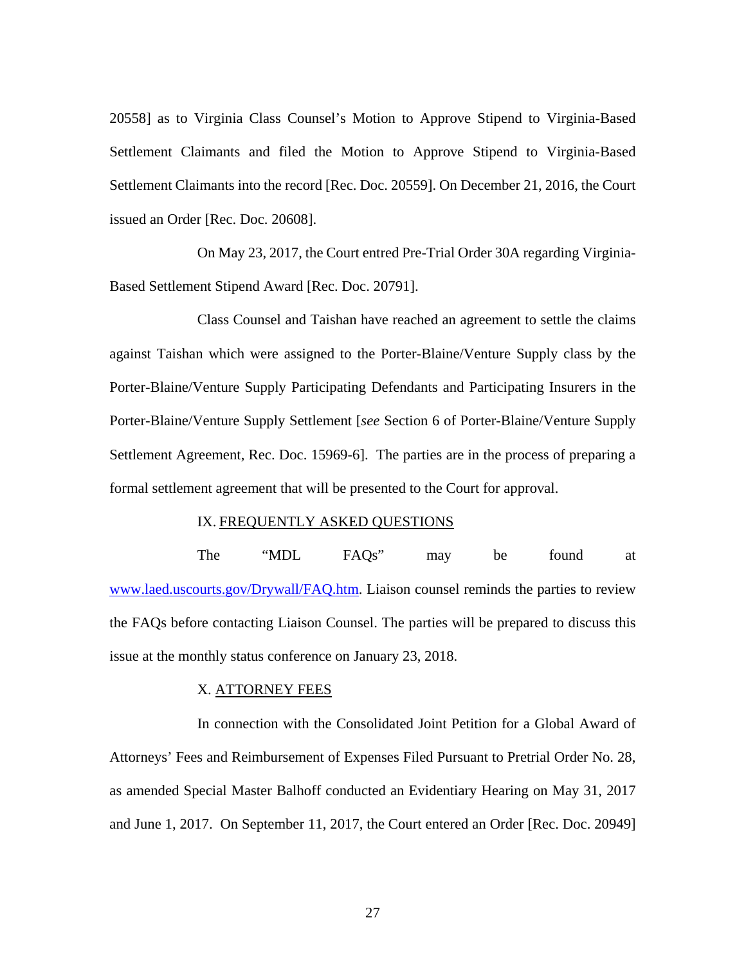20558] as to Virginia Class Counsel's Motion to Approve Stipend to Virginia-Based Settlement Claimants and filed the Motion to Approve Stipend to Virginia-Based Settlement Claimants into the record [Rec. Doc. 20559]. On December 21, 2016, the Court issued an Order [Rec. Doc. 20608].

On May 23, 2017, the Court entred Pre-Trial Order 30A regarding Virginia-Based Settlement Stipend Award [Rec. Doc. 20791].

Class Counsel and Taishan have reached an agreement to settle the claims against Taishan which were assigned to the Porter-Blaine/Venture Supply class by the Porter-Blaine/Venture Supply Participating Defendants and Participating Insurers in the Porter-Blaine/Venture Supply Settlement [*see* Section 6 of Porter-Blaine/Venture Supply Settlement Agreement, Rec. Doc. 15969-6]. The parties are in the process of preparing a formal settlement agreement that will be presented to the Court for approval.

## IX. FREQUENTLY ASKED QUESTIONS

The "MDL FAQs" may be found at [www.laed.uscourts.gov/Drywall/FAQ.htm.](http://www.laed.uscourts.gov/Drywall/FAQ.htm) Liaison counsel reminds the parties to review the FAQs before contacting Liaison Counsel. The parties will be prepared to discuss this issue at the monthly status conference on January 23, 2018.

## X. ATTORNEY FEES

In connection with the Consolidated Joint Petition for a Global Award of Attorneys' Fees and Reimbursement of Expenses Filed Pursuant to Pretrial Order No. 28, as amended Special Master Balhoff conducted an Evidentiary Hearing on May 31, 2017 and June 1, 2017. On September 11, 2017, the Court entered an Order [Rec. Doc. 20949]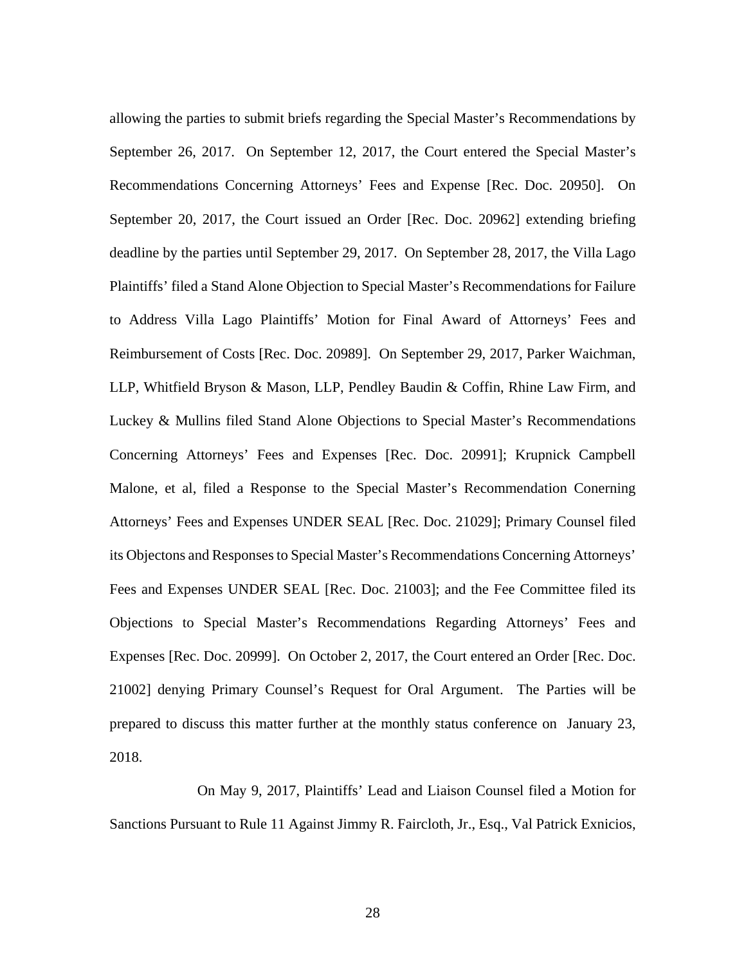allowing the parties to submit briefs regarding the Special Master's Recommendations by September 26, 2017. On September 12, 2017, the Court entered the Special Master's Recommendations Concerning Attorneys' Fees and Expense [Rec. Doc. 20950]. On September 20, 2017, the Court issued an Order [Rec. Doc. 20962] extending briefing deadline by the parties until September 29, 2017. On September 28, 2017, the Villa Lago Plaintiffs' filed a Stand Alone Objection to Special Master's Recommendations for Failure to Address Villa Lago Plaintiffs' Motion for Final Award of Attorneys' Fees and Reimbursement of Costs [Rec. Doc. 20989]. On September 29, 2017, Parker Waichman, LLP, Whitfield Bryson & Mason, LLP, Pendley Baudin & Coffin, Rhine Law Firm, and Luckey & Mullins filed Stand Alone Objections to Special Master's Recommendations Concerning Attorneys' Fees and Expenses [Rec. Doc. 20991]; Krupnick Campbell Malone, et al, filed a Response to the Special Master's Recommendation Conerning Attorneys' Fees and Expenses UNDER SEAL [Rec. Doc. 21029]; Primary Counsel filed its Objectons and Responses to Special Master's Recommendations Concerning Attorneys' Fees and Expenses UNDER SEAL [Rec. Doc. 21003]; and the Fee Committee filed its Objections to Special Master's Recommendations Regarding Attorneys' Fees and Expenses [Rec. Doc. 20999]. On October 2, 2017, the Court entered an Order [Rec. Doc. 21002] denying Primary Counsel's Request for Oral Argument. The Parties will be prepared to discuss this matter further at the monthly status conference on January 23, 2018.

On May 9, 2017, Plaintiffs' Lead and Liaison Counsel filed a Motion for Sanctions Pursuant to Rule 11 Against Jimmy R. Faircloth, Jr., Esq., Val Patrick Exnicios,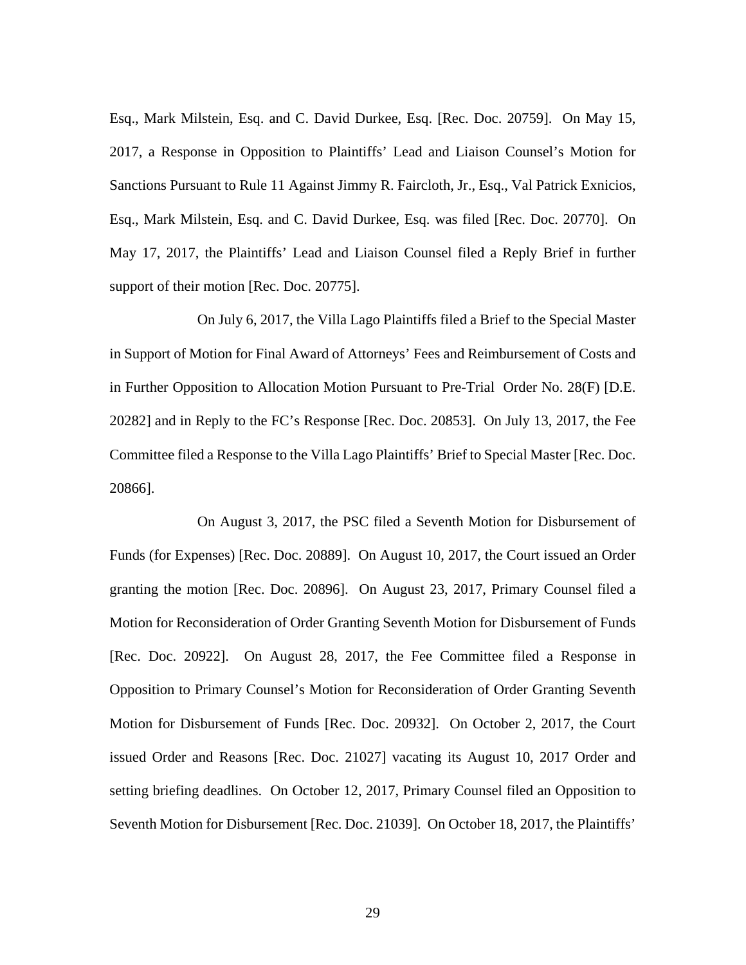Esq., Mark Milstein, Esq. and C. David Durkee, Esq. [Rec. Doc. 20759]. On May 15, 2017, a Response in Opposition to Plaintiffs' Lead and Liaison Counsel's Motion for Sanctions Pursuant to Rule 11 Against Jimmy R. Faircloth, Jr., Esq., Val Patrick Exnicios, Esq., Mark Milstein, Esq. and C. David Durkee, Esq. was filed [Rec. Doc. 20770]. On May 17, 2017, the Plaintiffs' Lead and Liaison Counsel filed a Reply Brief in further support of their motion [Rec. Doc. 20775].

On July 6, 2017, the Villa Lago Plaintiffs filed a Brief to the Special Master in Support of Motion for Final Award of Attorneys' Fees and Reimbursement of Costs and in Further Opposition to Allocation Motion Pursuant to Pre-Trial Order No. 28(F) [D.E. 20282] and in Reply to the FC's Response [Rec. Doc. 20853]. On July 13, 2017, the Fee Committee filed a Response to the Villa Lago Plaintiffs' Brief to Special Master [Rec. Doc. 20866].

On August 3, 2017, the PSC filed a Seventh Motion for Disbursement of Funds (for Expenses) [Rec. Doc. 20889]. On August 10, 2017, the Court issued an Order granting the motion [Rec. Doc. 20896]. On August 23, 2017, Primary Counsel filed a Motion for Reconsideration of Order Granting Seventh Motion for Disbursement of Funds [Rec. Doc. 20922]. On August 28, 2017, the Fee Committee filed a Response in Opposition to Primary Counsel's Motion for Reconsideration of Order Granting Seventh Motion for Disbursement of Funds [Rec. Doc. 20932]. On October 2, 2017, the Court issued Order and Reasons [Rec. Doc. 21027] vacating its August 10, 2017 Order and setting briefing deadlines. On October 12, 2017, Primary Counsel filed an Opposition to Seventh Motion for Disbursement [Rec. Doc. 21039]. On October 18, 2017, the Plaintiffs'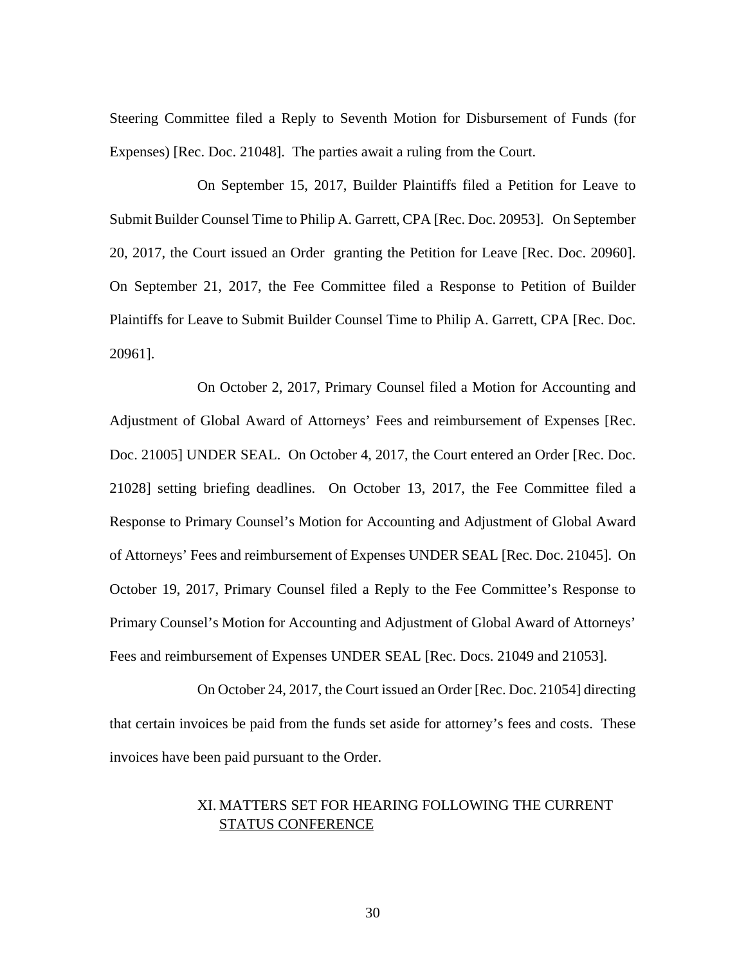Steering Committee filed a Reply to Seventh Motion for Disbursement of Funds (for Expenses) [Rec. Doc. 21048]. The parties await a ruling from the Court.

On September 15, 2017, Builder Plaintiffs filed a Petition for Leave to Submit Builder Counsel Time to Philip A. Garrett, CPA [Rec. Doc. 20953]. On September 20, 2017, the Court issued an Order granting the Petition for Leave [Rec. Doc. 20960]. On September 21, 2017, the Fee Committee filed a Response to Petition of Builder Plaintiffs for Leave to Submit Builder Counsel Time to Philip A. Garrett, CPA [Rec. Doc. 20961].

On October 2, 2017, Primary Counsel filed a Motion for Accounting and Adjustment of Global Award of Attorneys' Fees and reimbursement of Expenses [Rec. Doc. 21005] UNDER SEAL. On October 4, 2017, the Court entered an Order [Rec. Doc. 21028] setting briefing deadlines. On October 13, 2017, the Fee Committee filed a Response to Primary Counsel's Motion for Accounting and Adjustment of Global Award of Attorneys' Fees and reimbursement of Expenses UNDER SEAL [Rec. Doc. 21045]. On October 19, 2017, Primary Counsel filed a Reply to the Fee Committee's Response to Primary Counsel's Motion for Accounting and Adjustment of Global Award of Attorneys' Fees and reimbursement of Expenses UNDER SEAL [Rec. Docs. 21049 and 21053].

On October 24, 2017, the Court issued an Order [Rec. Doc. 21054] directing that certain invoices be paid from the funds set aside for attorney's fees and costs. These invoices have been paid pursuant to the Order.

# XI. MATTERS SET FOR HEARING FOLLOWING THE CURRENT STATUS CONFERENCE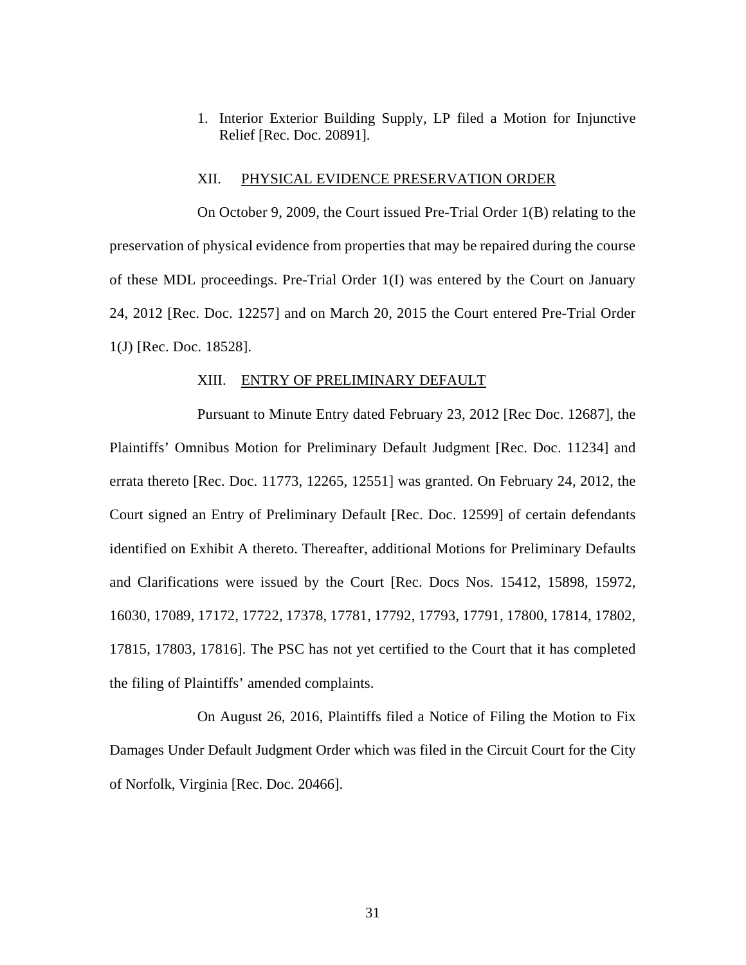1. Interior Exterior Building Supply, LP filed a Motion for Injunctive Relief [Rec. Doc. 20891].

#### XII. PHYSICAL EVIDENCE PRESERVATION ORDER

On October 9, 2009, the Court issued Pre-Trial Order 1(B) relating to the preservation of physical evidence from properties that may be repaired during the course of these MDL proceedings. Pre-Trial Order 1(I) was entered by the Court on January 24, 2012 [Rec. Doc. 12257] and on March 20, 2015 the Court entered Pre-Trial Order 1(J) [Rec. Doc. 18528].

#### XIII. ENTRY OF PRELIMINARY DEFAULT

Pursuant to Minute Entry dated February 23, 2012 [Rec Doc. 12687], the Plaintiffs' Omnibus Motion for Preliminary Default Judgment [Rec. Doc. 11234] and errata thereto [Rec. Doc. 11773, 12265, 12551] was granted. On February 24, 2012, the Court signed an Entry of Preliminary Default [Rec. Doc. 12599] of certain defendants identified on Exhibit A thereto. Thereafter, additional Motions for Preliminary Defaults and Clarifications were issued by the Court [Rec. Docs Nos. 15412, 15898, 15972, 16030, 17089, 17172, 17722, 17378, 17781, 17792, 17793, 17791, 17800, 17814, 17802, 17815, 17803, 17816]. The PSC has not yet certified to the Court that it has completed the filing of Plaintiffs' amended complaints.

On August 26, 2016, Plaintiffs filed a Notice of Filing the Motion to Fix Damages Under Default Judgment Order which was filed in the Circuit Court for the City of Norfolk, Virginia [Rec. Doc. 20466].